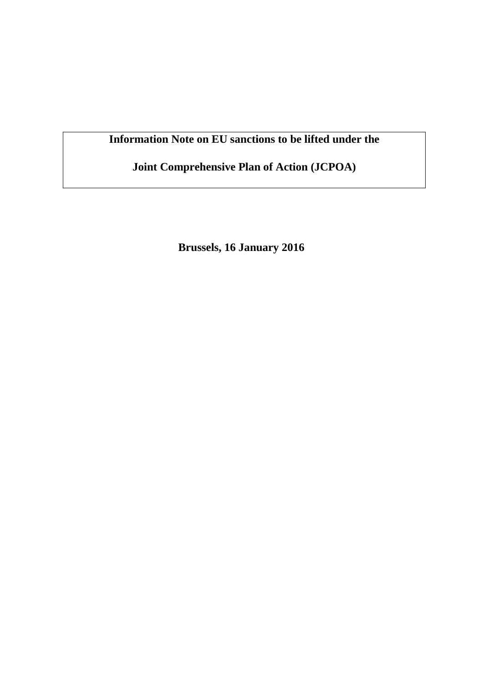# **Information Note on EU sanctions to be lifted under the**

**Joint Comprehensive Plan of Action (JCPOA)**

**Brussels, 16 January 2016**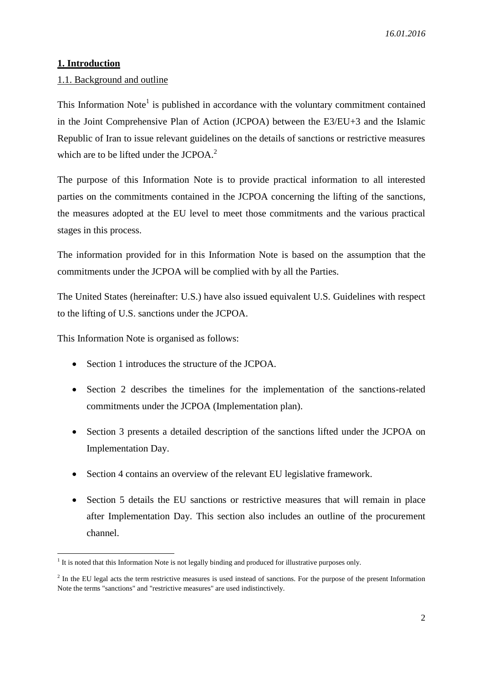## **1. Introduction**

## 1.1. Background and outline

This Information Note<sup>1</sup> is published in accordance with the voluntary commitment contained in the Joint Comprehensive Plan of Action (JCPOA) between the E3/EU+3 and the Islamic Republic of Iran to issue relevant guidelines on the details of sanctions or restrictive measures which are to be lifted under the JCPOA.<sup>2</sup>

The purpose of this Information Note is to provide practical information to all interested parties on the commitments contained in the JCPOA concerning the lifting of the sanctions, the measures adopted at the EU level to meet those commitments and the various practical stages in this process.

The information provided for in this Information Note is based on the assumption that the commitments under the JCPOA will be complied with by all the Parties.

The United States (hereinafter: U.S.) have also issued equivalent U.S. Guidelines with respect to the lifting of U.S. sanctions under the JCPOA.

This Information Note is organised as follows:

- Section 1 introduces the structure of the JCPOA.
- Section 2 describes the timelines for the implementation of the sanctions-related commitments under the JCPOA (Implementation plan).
- Section 3 presents a detailed description of the sanctions lifted under the JCPOA on Implementation Day.
- Section 4 contains an overview of the relevant EU legislative framework.
- Section 5 details the EU sanctions or restrictive measures that will remain in place after Implementation Day. This section also includes an outline of the procurement channel.

The 1 It is noted that this Information Note is not legally binding and produced for illustrative purposes only.

 $2$  In the EU legal acts the term restrictive measures is used instead of sanctions. For the purpose of the present Information Note the terms "sanctions" and "restrictive measures" are used indistinctively.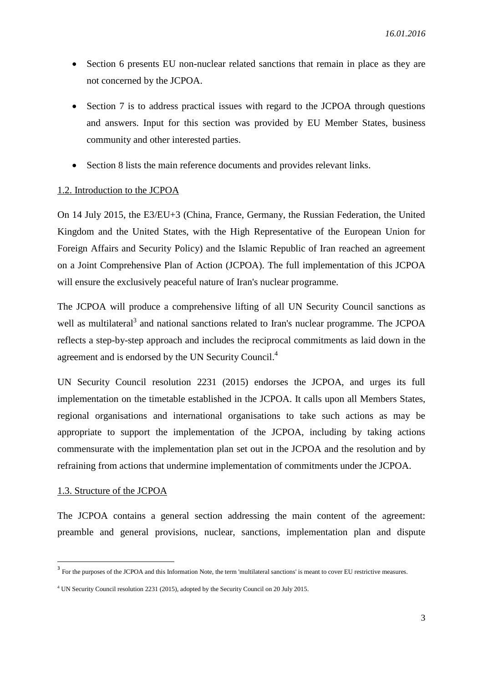- Section 6 presents EU non-nuclear related sanctions that remain in place as they are not concerned by the JCPOA.
- Section 7 is to address practical issues with regard to the JCPOA through questions and answers. Input for this section was provided by EU Member States, business community and other interested parties.
- Section 8 lists the main reference documents and provides relevant links.

#### 1.2. Introduction to the JCPOA

On 14 July 2015, the E3/EU+3 (China, France, Germany, the Russian Federation, the United Kingdom and the United States, with the High Representative of the European Union for Foreign Affairs and Security Policy) and the Islamic Republic of Iran reached an agreement on a Joint Comprehensive Plan of Action (JCPOA). The full implementation of this JCPOA will ensure the exclusively peaceful nature of Iran's nuclear programme.

The JCPOA will produce a comprehensive lifting of all UN Security Council sanctions as well as multilateral<sup>3</sup> and national sanctions related to Iran's nuclear programme. The JCPOA reflects a step-by-step approach and includes the reciprocal commitments as laid down in the agreement and is endorsed by the UN Security Council.<sup>4</sup>

UN Security Council resolution 2231 (2015) endorses the JCPOA, and urges its full implementation on the timetable established in the JCPOA. It calls upon all Members States, regional organisations and international organisations to take such actions as may be appropriate to support the implementation of the JCPOA, including by taking actions commensurate with the implementation plan set out in the JCPOA and the resolution and by refraining from actions that undermine implementation of commitments under the JCPOA.

#### 1.3. Structure of the JCPOA

**.** 

The JCPOA contains a general section addressing the main content of the agreement: preamble and general provisions, nuclear, sanctions, implementation plan and dispute

<sup>&</sup>lt;sup>3</sup> For the purposes of the JCPOA and this Information Note, the term 'multilateral sanctions' is meant to cover EU restrictive measures.

<sup>4</sup> UN Security Council resolution 2231 (2015), adopted by the Security Council on 20 July 2015.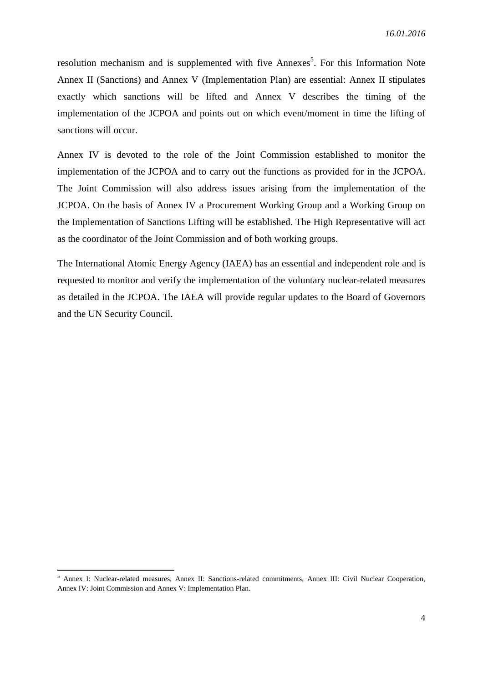resolution mechanism and is supplemented with five Annexes<sup>5</sup>. For this Information Note Annex II (Sanctions) and Annex V (Implementation Plan) are essential: Annex II stipulates exactly which sanctions will be lifted and Annex V describes the timing of the implementation of the JCPOA and points out on which event/moment in time the lifting of sanctions will occur.

Annex IV is devoted to the role of the Joint Commission established to monitor the implementation of the JCPOA and to carry out the functions as provided for in the JCPOA. The Joint Commission will also address issues arising from the implementation of the JCPOA. On the basis of Annex IV a Procurement Working Group and a Working Group on the Implementation of Sanctions Lifting will be established. The High Representative will act as the coordinator of the Joint Commission and of both working groups.

The International Atomic Energy Agency (IAEA) has an essential and independent role and is requested to monitor and verify the implementation of the voluntary nuclear-related measures as detailed in the JCPOA. The IAEA will provide regular updates to the Board of Governors and the UN Security Council.

<sup>5</sup> Annex I: Nuclear-related measures, Annex II: Sanctions-related commitments, Annex III: Civil Nuclear Cooperation, Annex IV: Joint Commission and Annex V: Implementation Plan.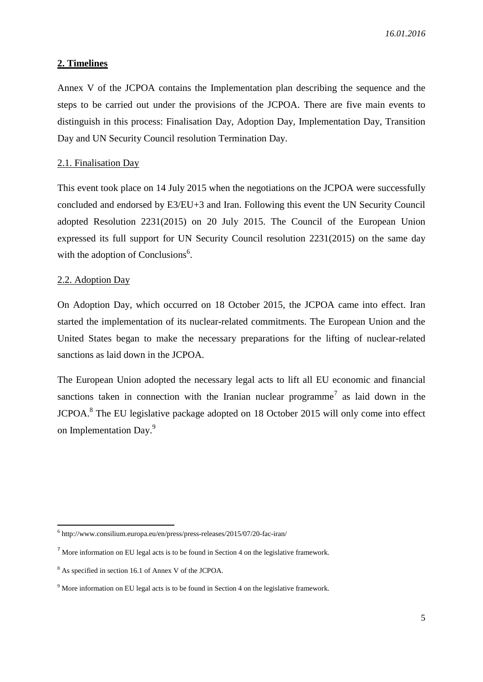#### **2. Timelines**

Annex V of the JCPOA contains the Implementation plan describing the sequence and the steps to be carried out under the provisions of the JCPOA. There are five main events to distinguish in this process: Finalisation Day, Adoption Day, Implementation Day, Transition Day and UN Security Council resolution Termination Day.

#### 2.1. Finalisation Day

This event took place on 14 July 2015 when the negotiations on the JCPOA were successfully concluded and endorsed by E3/EU+3 and Iran. Following this event the UN Security Council adopted Resolution 2231(2015) on 20 July 2015. The Council of the European Union expressed its full support for UN Security Council resolution 2231(2015) on the same day with the adoption of Conclusions<sup>6</sup>.

#### 2.2. Adoption Day

On Adoption Day, which occurred on 18 October 2015, the JCPOA came into effect. Iran started the implementation of its nuclear-related commitments. The European Union and the United States began to make the necessary preparations for the lifting of nuclear-related sanctions as laid down in the JCPOA.

The European Union adopted the necessary legal acts to lift all EU economic and financial sanctions taken in connection with the Iranian nuclear programme<sup>7</sup> as laid down in the JCPOA.<sup>8</sup> The EU legislative package adopted on 18 October 2015 will only come into effect on Implementation Day.<sup>9</sup>

 6 http://www.consilium.europa.eu/en/press/press-releases/2015/07/20-fac-iran/

 $<sup>7</sup>$  More information on EU legal acts is to be found in Section 4 on the legislative framework.</sup>

<sup>8</sup> As specified in section 16.1 of Annex V of the JCPOA.

<sup>&</sup>lt;sup>9</sup> More information on EU legal acts is to be found in Section 4 on the legislative framework.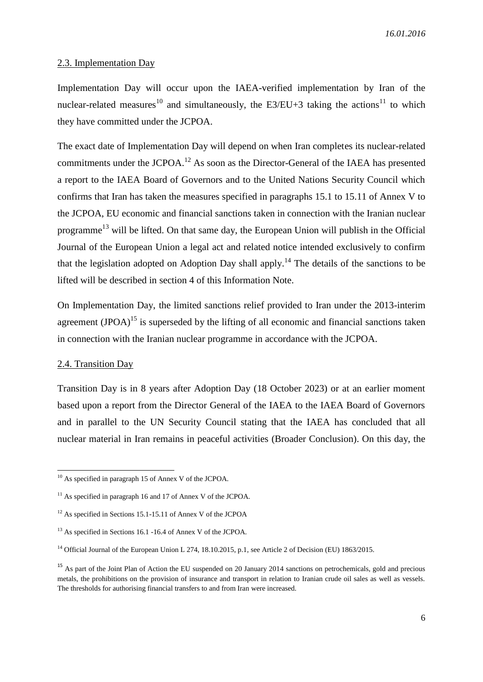#### 2.3. Implementation Day

Implementation Day will occur upon the IAEA-verified implementation by Iran of the nuclear-related measures<sup>10</sup> and simultaneously, the E3/EU+3 taking the actions<sup>11</sup> to which they have committed under the JCPOA.

The exact date of Implementation Day will depend on when Iran completes its nuclear-related commitments under the JCPOA.<sup>12</sup> As soon as the Director-General of the IAEA has presented a report to the IAEA Board of Governors and to the United Nations Security Council which confirms that Iran has taken the measures specified in paragraphs 15.1 to 15.11 of Annex V to the JCPOA, EU economic and financial sanctions taken in connection with the Iranian nuclear programme<sup>13</sup> will be lifted. On that same day, the European Union will publish in the Official Journal of the European Union a legal act and related notice intended exclusively to confirm that the legislation adopted on Adoption Day shall apply.<sup>14</sup> The details of the sanctions to be lifted will be described in section 4 of this Information Note.

On Implementation Day, the limited sanctions relief provided to Iran under the 2013-interim agreement  $(JPOA)^{15}$  is superseded by the lifting of all economic and financial sanctions taken in connection with the Iranian nuclear programme in accordance with the JCPOA.

#### 2.4. Transition Day

**.** 

Transition Day is in 8 years after Adoption Day (18 October 2023) or at an earlier moment based upon a report from the Director General of the IAEA to the IAEA Board of Governors and in parallel to the UN Security Council stating that the IAEA has concluded that all nuclear material in Iran remains in peaceful activities (Broader Conclusion). On this day, the

 $10$  As specified in paragraph 15 of Annex V of the JCPOA.

 $11$  As specified in paragraph 16 and 17 of Annex V of the JCPOA.

<sup>&</sup>lt;sup>12</sup> As specified in Sections 15.1-15.11 of Annex V of the JCPOA

<sup>&</sup>lt;sup>13</sup> As specified in Sections 16.1 -16.4 of Annex V of the JCPOA.

<sup>&</sup>lt;sup>14</sup> Official Journal of the European Union L 274, 18.10.2015, p.1, see Article 2 of Decision (EU) 1863/2015.

<sup>&</sup>lt;sup>15</sup> As part of the Joint Plan of Action the EU suspended on 20 January 2014 sanctions on petrochemicals, gold and precious metals, the prohibitions on the provision of insurance and transport in relation to Iranian crude oil sales as well as vessels. The thresholds for authorising financial transfers to and from Iran were increased.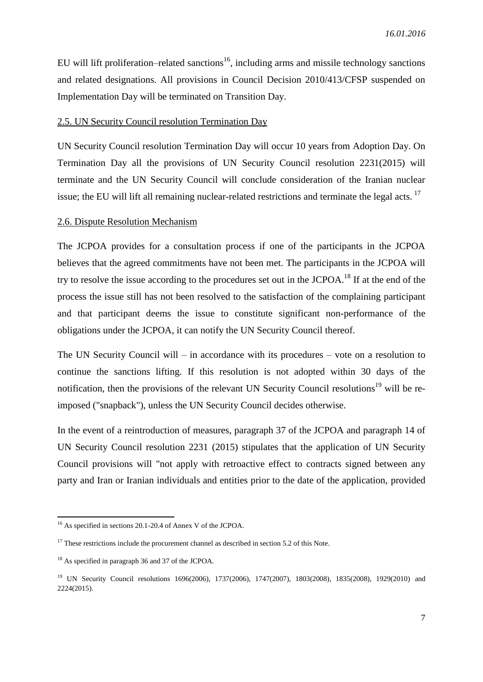EU will lift proliferation–related sanctions<sup>16</sup>, including arms and missile technology sanctions and related designations. All provisions in Council Decision 2010/413/CFSP suspended on Implementation Day will be terminated on Transition Day.

#### 2.5. UN Security Council resolution Termination Day

UN Security Council resolution Termination Day will occur 10 years from Adoption Day. On Termination Day all the provisions of UN Security Council resolution 2231(2015) will terminate and the UN Security Council will conclude consideration of the Iranian nuclear issue; the EU will lift all remaining nuclear-related restrictions and terminate the legal acts. <sup>17</sup>

#### 2.6. Dispute Resolution Mechanism

The JCPOA provides for a consultation process if one of the participants in the JCPOA believes that the agreed commitments have not been met. The participants in the JCPOA will try to resolve the issue according to the procedures set out in the JCPOA.<sup>18</sup> If at the end of the process the issue still has not been resolved to the satisfaction of the complaining participant and that participant deems the issue to constitute significant non-performance of the obligations under the JCPOA, it can notify the UN Security Council thereof.

The UN Security Council will – in accordance with its procedures – vote on a resolution to continue the sanctions lifting. If this resolution is not adopted within 30 days of the notification, then the provisions of the relevant UN Security Council resolutions<sup>19</sup> will be reimposed ("snapback"), unless the UN Security Council decides otherwise.

In the event of a reintroduction of measures, paragraph 37 of the JCPOA and paragraph 14 of UN Security Council resolution 2231 (2015) stipulates that the application of UN Security Council provisions will "not apply with retroactive effect to contracts signed between any party and Iran or Iranian individuals and entities prior to the date of the application, provided

<sup>1</sup> <sup>16</sup> As specified in sections 20.1-20.4 of Annex V of the JCPOA.

 $17$  These restrictions include the procurement channel as described in section 5.2 of this Note.

<sup>&</sup>lt;sup>18</sup> As specified in paragraph 36 and 37 of the JCPOA.

<sup>19</sup> UN Security Council resolutions 1696(2006), 1737(2006), 1747(2007), 1803(2008), 1835(2008), 1929(2010) and 2224(2015).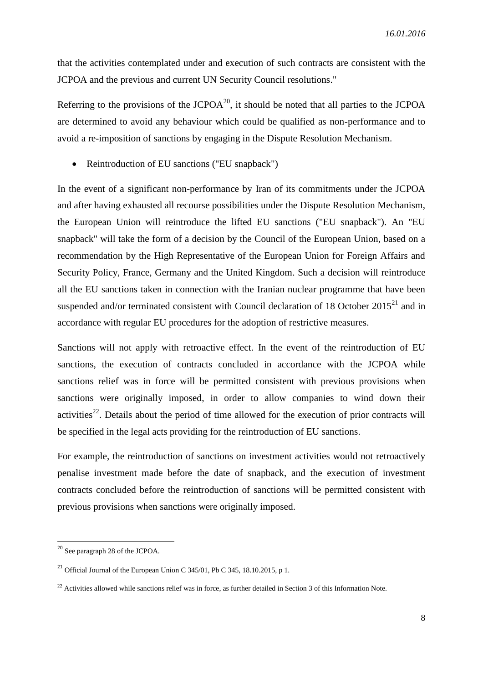that the activities contemplated under and execution of such contracts are consistent with the JCPOA and the previous and current UN Security Council resolutions."

Referring to the provisions of the  $JCPOA^{20}$ , it should be noted that all parties to the  $JCPOA$ are determined to avoid any behaviour which could be qualified as non-performance and to avoid a re-imposition of sanctions by engaging in the Dispute Resolution Mechanism.

• Reintroduction of EU sanctions ("EU snapback")

In the event of a significant non-performance by Iran of its commitments under the JCPOA and after having exhausted all recourse possibilities under the Dispute Resolution Mechanism, the European Union will reintroduce the lifted EU sanctions ("EU snapback"). An "EU snapback" will take the form of a decision by the Council of the European Union, based on a recommendation by the High Representative of the European Union for Foreign Affairs and Security Policy, France, Germany and the United Kingdom. Such a decision will reintroduce all the EU sanctions taken in connection with the Iranian nuclear programme that have been suspended and/or terminated consistent with Council declaration of 18 October  $2015^{21}$  and in accordance with regular EU procedures for the adoption of restrictive measures.

Sanctions will not apply with retroactive effect. In the event of the reintroduction of EU sanctions, the execution of contracts concluded in accordance with the JCPOA while sanctions relief was in force will be permitted consistent with previous provisions when sanctions were originally imposed, in order to allow companies to wind down their activities<sup>22</sup>. Details about the period of time allowed for the execution of prior contracts will be specified in the legal acts providing for the reintroduction of EU sanctions.

For example, the reintroduction of sanctions on investment activities would not retroactively penalise investment made before the date of snapback, and the execution of investment contracts concluded before the reintroduction of sanctions will be permitted consistent with previous provisions when sanctions were originally imposed.

<sup>&</sup>lt;sup>20</sup> See paragraph 28 of the JCPOA.

<sup>&</sup>lt;sup>21</sup> Official Journal of the European Union C 345/01, Pb C 345, 18.10.2015, p 1.

 $22$  Activities allowed while sanctions relief was in force, as further detailed in Section 3 of this Information Note.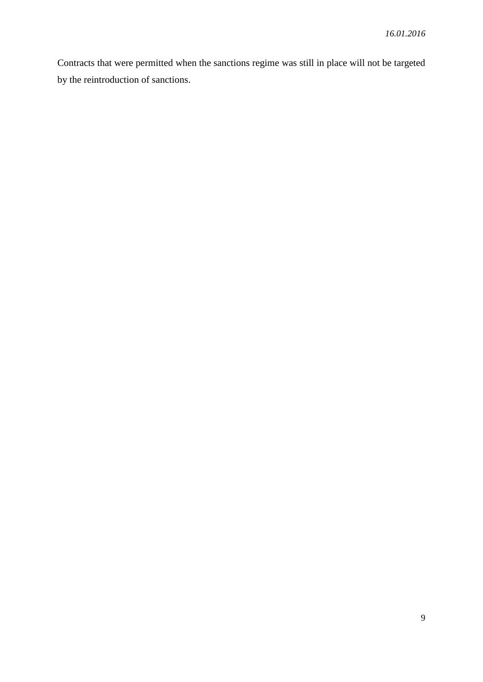Contracts that were permitted when the sanctions regime was still in place will not be targeted by the reintroduction of sanctions.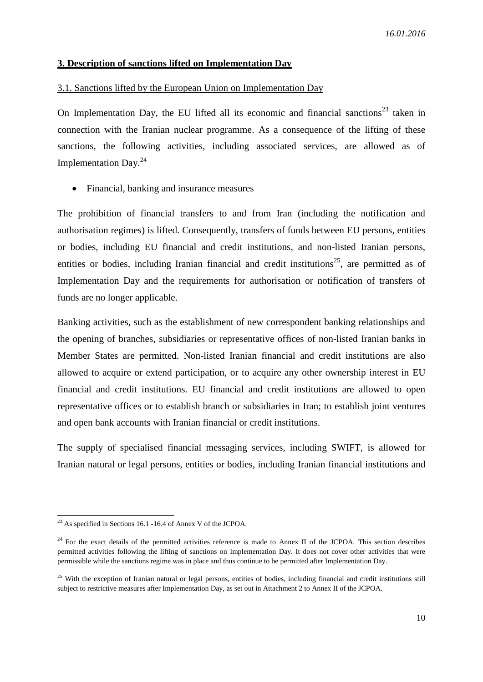#### **3. Description of sanctions lifted on Implementation Day**

## 3.1. Sanctions lifted by the European Union on Implementation Day

On Implementation Day, the EU lifted all its economic and financial sanctions<sup>23</sup> taken in connection with the Iranian nuclear programme. As a consequence of the lifting of these sanctions, the following activities, including associated services, are allowed as of Implementation Day.<sup>24</sup>

Financial, banking and insurance measures

The prohibition of financial transfers to and from Iran (including the notification and authorisation regimes) is lifted. Consequently, transfers of funds between EU persons, entities or bodies, including EU financial and credit institutions, and non-listed Iranian persons, entities or bodies, including Iranian financial and credit institutions<sup>25</sup>, are permitted as of Implementation Day and the requirements for authorisation or notification of transfers of funds are no longer applicable.

Banking activities, such as the establishment of new correspondent banking relationships and the opening of branches, subsidiaries or representative offices of non-listed Iranian banks in Member States are permitted. Non-listed Iranian financial and credit institutions are also allowed to acquire or extend participation, or to acquire any other ownership interest in EU financial and credit institutions. EU financial and credit institutions are allowed to open representative offices or to establish branch or subsidiaries in Iran; to establish joint ventures and open bank accounts with Iranian financial or credit institutions.

The supply of specialised financial messaging services, including SWIFT, is allowed for Iranian natural or legal persons, entities or bodies, including Iranian financial institutions and

1

 $^{23}$  As specified in Sections 16.1 -16.4 of Annex V of the JCPOA.

 $24$  For the exact details of the permitted activities reference is made to Annex II of the JCPOA. This section describes permitted activities following the lifting of sanctions on Implementation Day. It does not cover other activities that were permissible while the sanctions regime was in place and thus continue to be permitted after Implementation Day.

<sup>&</sup>lt;sup>25</sup> With the exception of Iranian natural or legal persons, entities of bodies, including financial and credit institutions still subject to restrictive measures after Implementation Day, as set out in Attachment 2 to Annex II of the JCPOA.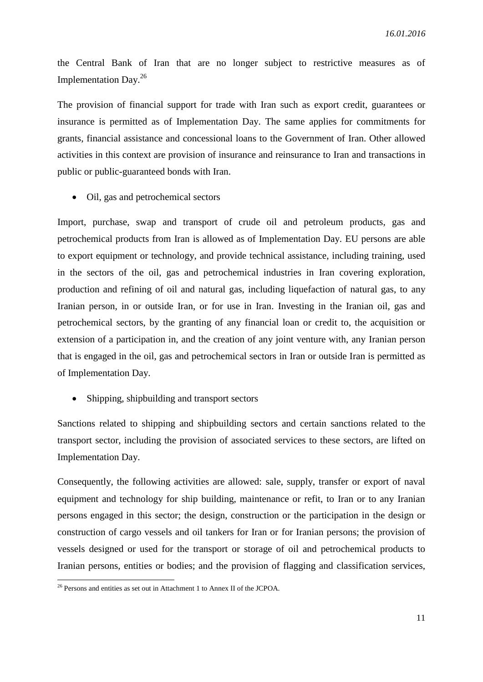the Central Bank of Iran that are no longer subject to restrictive measures as of Implementation Day. 26

The provision of financial support for trade with Iran such as export credit, guarantees or insurance is permitted as of Implementation Day. The same applies for commitments for grants, financial assistance and concessional loans to the Government of Iran. Other allowed activities in this context are provision of insurance and reinsurance to Iran and transactions in public or public-guaranteed bonds with Iran.

• Oil, gas and petrochemical sectors

Import, purchase, swap and transport of crude oil and petroleum products, gas and petrochemical products from Iran is allowed as of Implementation Day. EU persons are able to export equipment or technology, and provide technical assistance, including training, used in the sectors of the oil, gas and petrochemical industries in Iran covering exploration, production and refining of oil and natural gas, including liquefaction of natural gas, to any Iranian person, in or outside Iran, or for use in Iran. Investing in the Iranian oil, gas and petrochemical sectors, by the granting of any financial loan or credit to, the acquisition or extension of a participation in, and the creation of any joint venture with, any Iranian person that is engaged in the oil, gas and petrochemical sectors in Iran or outside Iran is permitted as of Implementation Day.

• Shipping, shipbuilding and transport sectors

Sanctions related to shipping and shipbuilding sectors and certain sanctions related to the transport sector, including the provision of associated services to these sectors, are lifted on Implementation Day.

Consequently, the following activities are allowed: sale, supply, transfer or export of naval equipment and technology for ship building, maintenance or refit, to Iran or to any Iranian persons engaged in this sector; the design, construction or the participation in the design or construction of cargo vessels and oil tankers for Iran or for Iranian persons; the provision of vessels designed or used for the transport or storage of oil and petrochemical products to Iranian persons, entities or bodies; and the provision of flagging and classification services,

1

 $26$  Persons and entities as set out in Attachment 1 to Annex II of the JCPOA.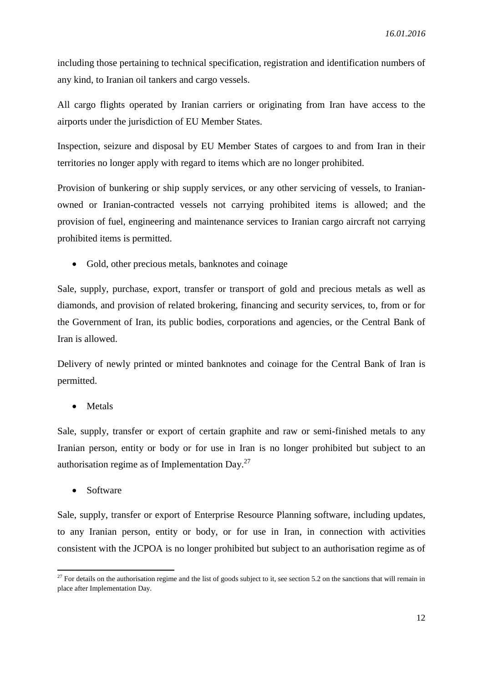including those pertaining to technical specification, registration and identification numbers of any kind, to Iranian oil tankers and cargo vessels.

All cargo flights operated by Iranian carriers or originating from Iran have access to the airports under the jurisdiction of EU Member States.

Inspection, seizure and disposal by EU Member States of cargoes to and from Iran in their territories no longer apply with regard to items which are no longer prohibited.

Provision of bunkering or ship supply services, or any other servicing of vessels, to Iranianowned or Iranian-contracted vessels not carrying prohibited items is allowed; and the provision of fuel, engineering and maintenance services to Iranian cargo aircraft not carrying prohibited items is permitted.

• Gold, other precious metals, banknotes and coinage

Sale, supply, purchase, export, transfer or transport of gold and precious metals as well as diamonds, and provision of related brokering, financing and security services, to, from or for the Government of Iran, its public bodies, corporations and agencies, or the Central Bank of Iran is allowed.

Delivery of newly printed or minted banknotes and coinage for the Central Bank of Iran is permitted.

• Metals

Sale, supply, transfer or export of certain graphite and raw or semi-finished metals to any Iranian person, entity or body or for use in Iran is no longer prohibited but subject to an authorisation regime as of Implementation Day. $27$ 

• Software

**.** 

Sale, supply, transfer or export of Enterprise Resource Planning software, including updates, to any Iranian person, entity or body, or for use in Iran, in connection with activities consistent with the JCPOA is no longer prohibited but subject to an authorisation regime as of

 $27$  For details on the authorisation regime and the list of goods subject to it, see section 5.2 on the sanctions that will remain in place after Implementation Day.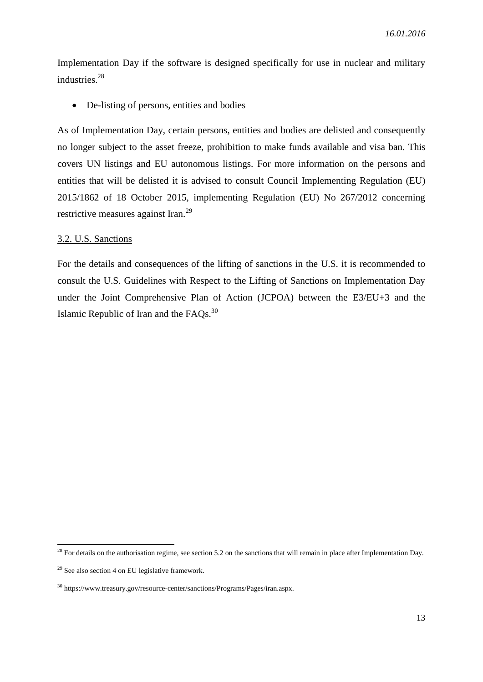Implementation Day if the software is designed specifically for use in nuclear and military industries. 28

• De-listing of persons, entities and bodies

As of Implementation Day, certain persons, entities and bodies are delisted and consequently no longer subject to the asset freeze, prohibition to make funds available and visa ban. This covers UN listings and EU autonomous listings. For more information on the persons and entities that will be delisted it is advised to consult Council Implementing Regulation (EU) 2015/1862 of 18 October 2015, implementing Regulation (EU) No 267/2012 concerning restrictive measures against Iran.<sup>29</sup>

### 3.2. U.S. Sanctions

For the details and consequences of the lifting of sanctions in the U.S. it is recommended to consult the U.S. Guidelines with Respect to the Lifting of Sanctions on Implementation Day under the Joint Comprehensive Plan of Action (JCPOA) between the E3/EU+3 and the Islamic Republic of Iran and the FAQs.<sup>30</sup>

<sup>&</sup>lt;sup>28</sup> For details on the authorisation regime, see section 5.2 on the sanctions that will remain in place after Implementation Day.

 $29$  See also section 4 on EU legislative framework.

<sup>30</sup> https://www.treasury.gov/resource-center/sanctions/Programs/Pages/iran.aspx.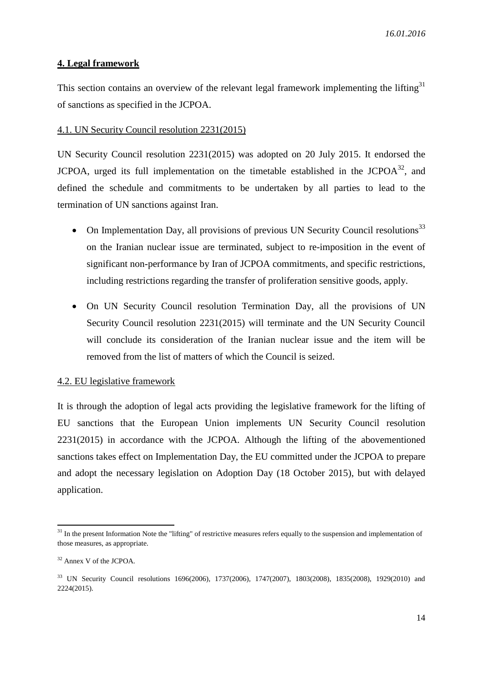#### **4. Legal framework**

This section contains an overview of the relevant legal framework implementing the lifting<sup>31</sup> of sanctions as specified in the JCPOA.

#### 4.1. UN Security Council resolution 2231(2015)

UN Security Council resolution 2231(2015) was adopted on 20 July 2015. It endorsed the JCPOA, urged its full implementation on the timetable established in the JCPO $A^{32}$ , and defined the schedule and commitments to be undertaken by all parties to lead to the termination of UN sanctions against Iran.

- On Implementation Day, all provisions of previous UN Security Council resolutions<sup>33</sup> on the Iranian nuclear issue are terminated, subject to re-imposition in the event of significant non-performance by Iran of JCPOA commitments, and specific restrictions, including restrictions regarding the transfer of proliferation sensitive goods, apply.
- On UN Security Council resolution Termination Day, all the provisions of UN Security Council resolution 2231(2015) will terminate and the UN Security Council will conclude its consideration of the Iranian nuclear issue and the item will be removed from the list of matters of which the Council is seized.

#### 4.2. EU legislative framework

It is through the adoption of legal acts providing the legislative framework for the lifting of EU sanctions that the European Union implements UN Security Council resolution 2231(2015) in accordance with the JCPOA. Although the lifting of the abovementioned sanctions takes effect on Implementation Day, the EU committed under the JCPOA to prepare and adopt the necessary legislation on Adoption Day (18 October 2015), but with delayed application.

1

 $31$  In the present Information Note the "lifting" of restrictive measures refers equally to the suspension and implementation of those measures, as appropriate.

<sup>32</sup> Annex V of the JCPOA.

<sup>33</sup> UN Security Council resolutions 1696(2006), 1737(2006), 1747(2007), 1803(2008), 1835(2008), 1929(2010) and 2224(2015).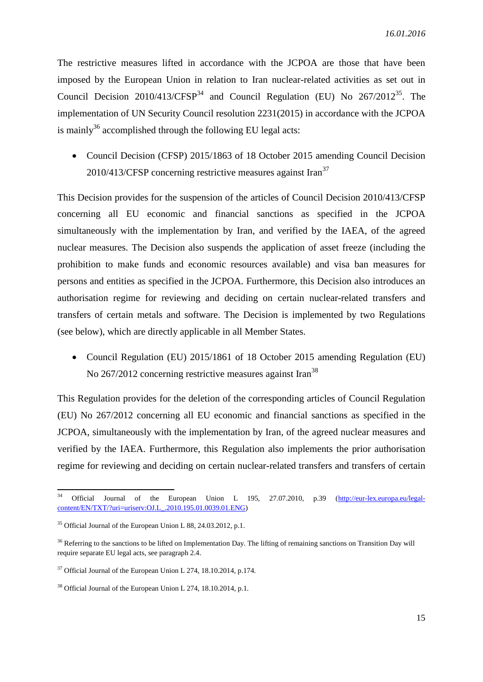The restrictive measures lifted in accordance with the JCPOA are those that have been imposed by the European Union in relation to Iran nuclear-related activities as set out in Council Decision  $2010/413/CFSP<sup>34</sup>$  and Council Regulation (EU) No  $267/2012^{35}$ . The implementation of UN Security Council resolution 2231(2015) in accordance with the JCPOA is mainly<sup>36</sup> accomplished through the following EU legal acts:

• Council Decision (CFSP) 2015/1863 of 18 October 2015 amending Council Decision  $2010/413/CFSP$  concerning restrictive measures against Iran<sup>37</sup>

This Decision provides for the suspension of the articles of Council Decision 2010/413/CFSP concerning all EU economic and financial sanctions as specified in the JCPOA simultaneously with the implementation by Iran, and verified by the IAEA, of the agreed nuclear measures. The Decision also suspends the application of asset freeze (including the prohibition to make funds and economic resources available) and visa ban measures for persons and entities as specified in the JCPOA. Furthermore, this Decision also introduces an authorisation regime for reviewing and deciding on certain nuclear-related transfers and transfers of certain metals and software. The Decision is implemented by two Regulations (see below), which are directly applicable in all Member States.

 Council Regulation (EU) 2015/1861 of 18 October 2015 amending Regulation (EU) No 267/2012 concerning restrictive measures against Iran<sup>38</sup>

This Regulation provides for the deletion of the corresponding articles of Council Regulation (EU) No 267/2012 concerning all EU economic and financial sanctions as specified in the JCPOA, simultaneously with the implementation by Iran, of the agreed nuclear measures and verified by the IAEA. Furthermore, this Regulation also implements the prior authorisation regime for reviewing and deciding on certain nuclear-related transfers and transfers of certain

<sup>1</sup> <sup>34</sup> Official Journal of the European Union L 195, 27.07.2010, p.39 [\(http://eur-lex.europa.eu/legal](http://eur-lex.europa.eu/legal-content/EN/TXT/?uri=uriserv:OJ.L_.2010.195.01.0039.01.ENG)[content/EN/TXT/?uri=uriserv:OJ.L\\_.2010.195.01.0039.01.ENG\)](http://eur-lex.europa.eu/legal-content/EN/TXT/?uri=uriserv:OJ.L_.2010.195.01.0039.01.ENG)

 $35$  Official Journal of the European Union L 88, 24, 03, 2012, p.1.

<sup>&</sup>lt;sup>36</sup> Referring to the sanctions to be lifted on Implementation Day. The lifting of remaining sanctions on Transition Day will require separate EU legal acts, see paragraph 2.4.

<sup>&</sup>lt;sup>37</sup> Official Journal of the European Union L 274, 18.10.2014, p.174.

<sup>38</sup> Official Journal of the European Union L 274, 18.10.2014, p.1.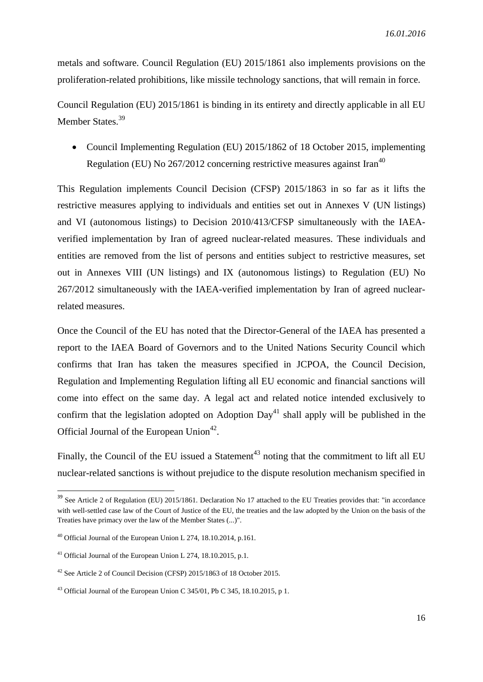metals and software. Council Regulation (EU) 2015/1861 also implements provisions on the proliferation-related prohibitions, like missile technology sanctions, that will remain in force.

Council Regulation (EU) 2015/1861 is binding in its entirety and directly applicable in all EU Member States.<sup>39</sup>

 Council Implementing Regulation (EU) 2015/1862 of 18 October 2015, implementing Regulation (EU) No  $267/2012$  concerning restrictive measures against Iran<sup>40</sup>

This Regulation implements Council Decision (CFSP) 2015/1863 in so far as it lifts the restrictive measures applying to individuals and entities set out in Annexes V (UN listings) and VI (autonomous listings) to Decision 2010/413/CFSP simultaneously with the IAEAverified implementation by Iran of agreed nuclear-related measures. These individuals and entities are removed from the list of persons and entities subject to restrictive measures, set out in Annexes VIII (UN listings) and IX (autonomous listings) to Regulation (EU) No 267/2012 simultaneously with the IAEA-verified implementation by Iran of agreed nuclearrelated measures.

Once the Council of the EU has noted that the Director-General of the IAEA has presented a report to the IAEA Board of Governors and to the United Nations Security Council which confirms that Iran has taken the measures specified in JCPOA, the Council Decision, Regulation and Implementing Regulation lifting all EU economic and financial sanctions will come into effect on the same day. A legal act and related notice intended exclusively to confirm that the legislation adopted on Adoption Day<sup>41</sup> shall apply will be published in the Official Journal of the European Union<sup>42</sup>.

Finally, the Council of the EU issued a Statement<sup>43</sup> noting that the commitment to lift all EU nuclear-related sanctions is without prejudice to the dispute resolution mechanism specified in

<sup>&</sup>lt;sup>39</sup> See Article 2 of Regulation (EU) 2015/1861. Declaration No 17 attached to the EU Treaties provides that: "in accordance with well-settled case law of the Court of Justice of the EU, the treaties and the law adopted by the Union on the basis of the Treaties have primacy over the law of the Member States (...)".

 $40$  Official Journal of the European Union L 274, 18.10.2014, p.161.

<sup>&</sup>lt;sup>41</sup> Official Journal of the European Union L 274, 18.10.2015, p.1.

<sup>42</sup> See Article 2 of Council Decision (CFSP) 2015/1863 of 18 October 2015.

<sup>&</sup>lt;sup>43</sup> Official Journal of the European Union C  $345/01$ , Pb C  $345$ , 18, 10, 2015, p 1.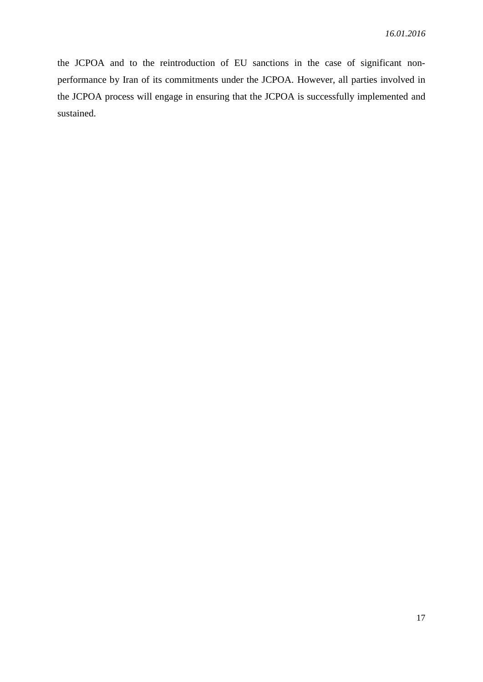the JCPOA and to the reintroduction of EU sanctions in the case of significant nonperformance by Iran of its commitments under the JCPOA. However, all parties involved in the JCPOA process will engage in ensuring that the JCPOA is successfully implemented and sustained.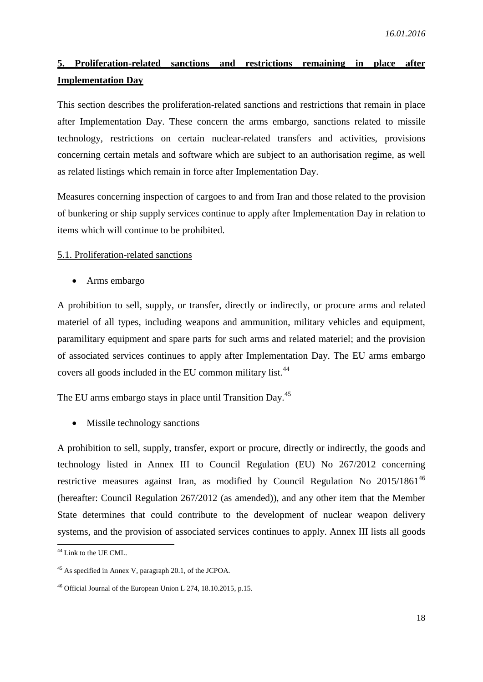## **5. Proliferation-related sanctions and restrictions remaining in place after Implementation Day**

This section describes the proliferation-related sanctions and restrictions that remain in place after Implementation Day. These concern the arms embargo, sanctions related to missile technology, restrictions on certain nuclear-related transfers and activities, provisions concerning certain metals and software which are subject to an authorisation regime, as well as related listings which remain in force after Implementation Day.

Measures concerning inspection of cargoes to and from Iran and those related to the provision of bunkering or ship supply services continue to apply after Implementation Day in relation to items which will continue to be prohibited.

#### 5.1. Proliferation-related sanctions

Arms embargo

A prohibition to sell, supply, or transfer, directly or indirectly, or procure arms and related materiel of all types, including weapons and ammunition, military vehicles and equipment, paramilitary equipment and spare parts for such arms and related materiel; and the provision of associated services continues to apply after Implementation Day. The EU arms embargo covers all goods included in the EU common military list.<sup>44</sup>

The EU arms embargo stays in place until Transition Day.<sup>45</sup>

• Missile technology sanctions

A prohibition to sell, supply, transfer, export or procure, directly or indirectly, the goods and technology listed in Annex III to Council Regulation (EU) No 267/2012 concerning restrictive measures against Iran, as modified by Council Regulation No 2015/1861<sup>46</sup> (hereafter: Council Regulation 267/2012 (as amended)), and any other item that the Member State determines that could contribute to the development of nuclear weapon delivery systems, and the provision of associated services continues to apply. Annex III lists all goods

<sup>&</sup>lt;sup>44</sup> Link to the UE CML.

<sup>45</sup> As specified in Annex V, paragraph 20.1, of the JCPOA.

<sup>46</sup> Official Journal of the European Union L 274, 18.10.2015, p.15.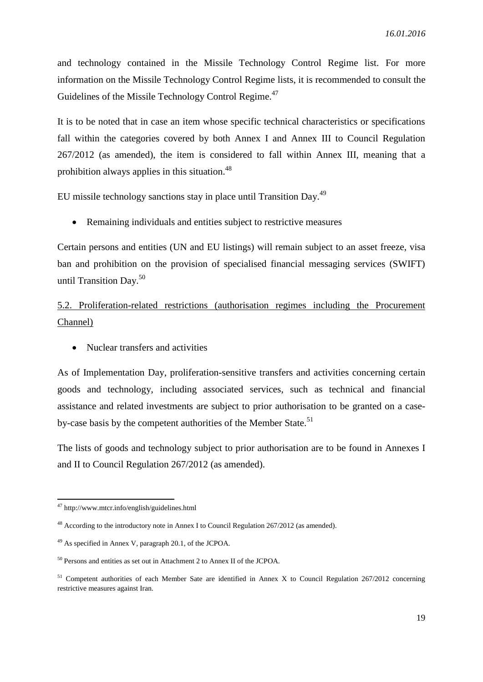and technology contained in the Missile Technology Control Regime list. For more information on the Missile Technology Control Regime lists, it is recommended to consult the Guidelines of the Missile Technology Control Regime.<sup>47</sup>

It is to be noted that in case an item whose specific technical characteristics or specifications fall within the categories covered by both Annex I and Annex III to Council Regulation 267/2012 (as amended), the item is considered to fall within Annex III, meaning that a prohibition always applies in this situation.<sup>48</sup>

EU missile technology sanctions stay in place until Transition Day.<sup>49</sup>

Remaining individuals and entities subject to restrictive measures

Certain persons and entities (UN and EU listings) will remain subject to an asset freeze, visa ban and prohibition on the provision of specialised financial messaging services (SWIFT) until Transition Day.<sup>50</sup>

## 5.2. Proliferation-related restrictions (authorisation regimes including the Procurement Channel)

• Nuclear transfers and activities

As of Implementation Day, proliferation-sensitive transfers and activities concerning certain goods and technology, including associated services, such as technical and financial assistance and related investments are subject to prior authorisation to be granted on a caseby-case basis by the competent authorities of the Member State.<sup>51</sup>

The lists of goods and technology subject to prior authorisation are to be found in Annexes I and II to Council Regulation 267/2012 (as amended).

<sup>&</sup>lt;sup>47</sup> http://www.mtcr.info/english/guidelines.html

<sup>&</sup>lt;sup>48</sup> According to the introductory note in Annex I to Council Regulation  $267/2012$  (as amended).

<sup>49</sup> As specified in Annex V, paragraph 20.1, of the JCPOA.

<sup>&</sup>lt;sup>50</sup> Persons and entities as set out in Attachment 2 to Annex II of the JCPOA.

<sup>&</sup>lt;sup>51</sup> Competent authorities of each Member Sate are identified in Annex X to Council Regulation 267/2012 concerning restrictive measures against Iran.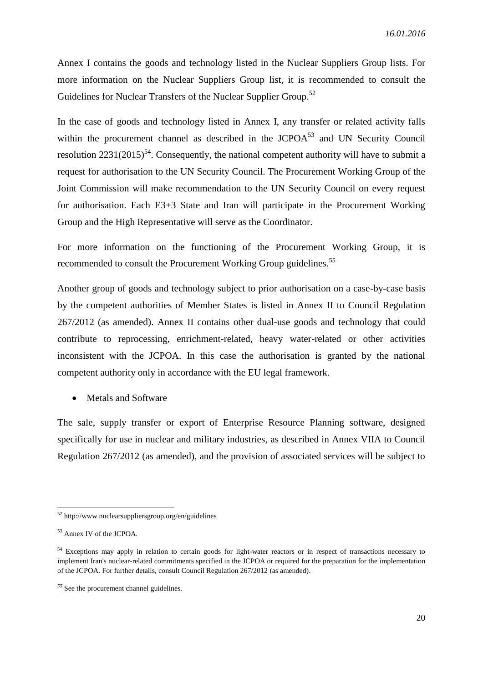Annex I contains the goods and technology listed in the Nuclear Suppliers Group lists. For more information on the Nuclear Suppliers Group list, it is recommended to consult the Guidelines for Nuclear Transfers of the Nuclear Supplier Group.<sup>52</sup>

In the case of goods and technology listed in Annex I, any transfer or related activity falls within the procurement channel as described in the  $JCPOA<sup>53</sup>$  and UN Security Council resolution  $2231(2015)^{54}$ . Consequently, the national competent authority will have to submit a request for authorisation to the UN Security Council. The Procurement Working Group of the Joint Commission will make recommendation to the UN Security Council on every request for authorisation. Each E3+3 State and Iran will participate in the Procurement Working Group and the High Representative will serve as the Coordinator.

For more information on the functioning of the Procurement Working Group, it is recommended to consult the Procurement Working Group guidelines.<sup>55</sup>

Another group of goods and technology subject to prior authorisation on a case-by-case basis by the competent authorities of Member States is listed in Annex II to Council Regulation 267/2012 (as amended). Annex II contains other dual-use goods and technology that could contribute to reprocessing, enrichment-related, heavy water-related or other activities inconsistent with the JCPOA. In this case the authorisation is granted by the national competent authority only in accordance with the EU legal framework.

• Metals and Software

The sale, supply transfer or export of Enterprise Resource Planning software, designed specifically for use in nuclear and military industries, as described in Annex VIIA to Council Regulation 267/2012 (as amended), and the provision of associated services will be subject to

<sup>52</sup> http://www.nuclearsuppliersgroup.org/en/guidelines

<sup>53</sup> Annex IV of the JCPOA.

<sup>&</sup>lt;sup>54</sup> Exceptions may apply in relation to certain goods for light-water reactors or in respect of transactions necessary to implement Iran's nuclear-related commitments specified in the JCPOA or required for the preparation for the implementation of the JCPOA. For further details, consult Council Regulation 267/2012 (as amended).

*<sup>55</sup>* See the procurement channel guidelines*.*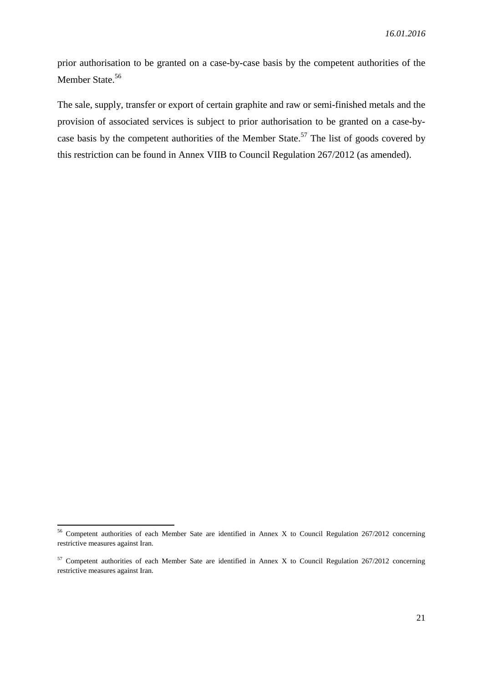prior authorisation to be granted on a case-by-case basis by the competent authorities of the Member State.<sup>56</sup>

The sale, supply, transfer or export of certain graphite and raw or semi-finished metals and the provision of associated services is subject to prior authorisation to be granted on a case-bycase basis by the competent authorities of the Member State.<sup>57</sup> The list of goods covered by this restriction can be found in Annex VIIB to Council Regulation 267/2012 (as amended).

1

<sup>&</sup>lt;sup>56</sup> Competent authorities of each Member Sate are identified in Annex X to Council Regulation 267/2012 concerning restrictive measures against Iran.

 $57$  Competent authorities of each Member Sate are identified in Annex X to Council Regulation 267/2012 concerning restrictive measures against Iran.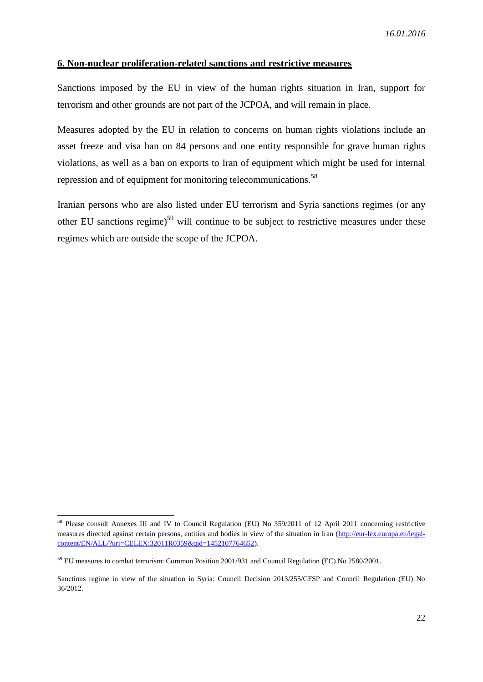## **6. Non-nuclear proliferation-related sanctions and restrictive measures**

Sanctions imposed by the EU in view of the human rights situation in Iran, support for terrorism and other grounds are not part of the JCPOA, and will remain in place.

Measures adopted by the EU in relation to concerns on human rights violations include an asset freeze and visa ban on 84 persons and one entity responsible for grave human rights violations, as well as a ban on exports to Iran of equipment which might be used for internal repression and of equipment for monitoring telecommunications.<sup>58</sup>

Iranian persons who are also listed under EU terrorism and Syria sanctions regimes (or any other EU sanctions regime)<sup>59</sup> will continue to be subject to restrictive measures under these regimes which are outside the scope of the JCPOA.

1

<sup>&</sup>lt;sup>58</sup> Please consult Annexes III and IV to Council Regulation (EU) No 359/2011 of 12 April 2011 concerning restrictive measures directed against certain persons, entities and bodies in view of the situation in Iran [\(http://eur-lex.europa.eu/legal](http://eur-lex.europa.eu/legal-content/EN/ALL/?uri=CELEX:32011R0359&qid=1452107764652)[content/EN/ALL/?uri=CELEX:32011R0359&qid=1452107764652\)](http://eur-lex.europa.eu/legal-content/EN/ALL/?uri=CELEX:32011R0359&qid=1452107764652).

<sup>&</sup>lt;sup>59</sup> EU measures to combat terrorism: Common Position 2001/931 and Council Regulation (EC) No 2580/2001.

Sanctions regime in view of the situation in Syria: Council Decision 2013/255/CFSP and Council Regulation (EU) No 36/2012.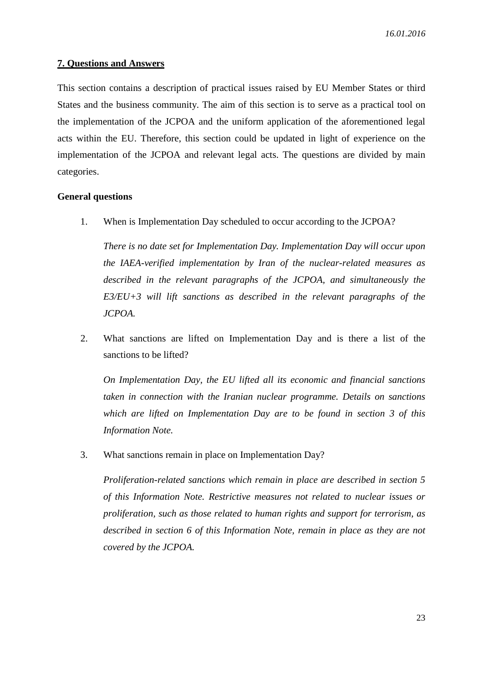#### **7. Questions and Answers**

This section contains a description of practical issues raised by EU Member States or third States and the business community. The aim of this section is to serve as a practical tool on the implementation of the JCPOA and the uniform application of the aforementioned legal acts within the EU. Therefore, this section could be updated in light of experience on the implementation of the JCPOA and relevant legal acts. The questions are divided by main categories.

#### **General questions**

1. When is Implementation Day scheduled to occur according to the JCPOA?

*There is no date set for Implementation Day. Implementation Day will occur upon the IAEA-verified implementation by Iran of the nuclear-related measures as described in the relevant paragraphs of the JCPOA, and simultaneously the E3/EU+3 will lift sanctions as described in the relevant paragraphs of the JCPOA.*

2. What sanctions are lifted on Implementation Day and is there a list of the sanctions to be lifted?

*On Implementation Day, the EU lifted all its economic and financial sanctions taken in connection with the Iranian nuclear programme. Details on sanctions which are lifted on Implementation Day are to be found in section 3 of this Information Note.*

3. What sanctions remain in place on Implementation Day?

*Proliferation-related sanctions which remain in place are described in section 5 of this Information Note. Restrictive measures not related to nuclear issues or proliferation, such as those related to human rights and support for terrorism, as described in section 6 of this Information Note, remain in place as they are not covered by the JCPOA.*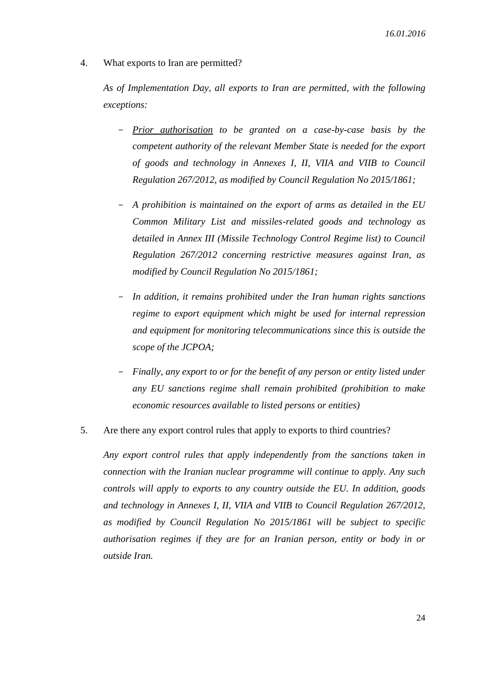4. What exports to Iran are permitted?

*As of Implementation Day, all exports to Iran are permitted, with the following exceptions:*

- *Prior authorisation to be granted on a case-by-case basis by the competent authority of the relevant Member State is needed for the export of goods and technology in Annexes I, II, VIIA and VIIB to Council Regulation 267/2012, as modified by Council Regulation No 2015/1861;*
- *A prohibition is maintained on the export of arms as detailed in the EU Common Military List and missiles-related goods and technology as detailed in Annex III (Missile Technology Control Regime list) to Council Regulation 267/2012 concerning restrictive measures against Iran, as modified by Council Regulation No 2015/1861;*
- *In addition, it remains prohibited under the Iran human rights sanctions regime to export equipment which might be used for internal repression and equipment for monitoring telecommunications since this is outside the scope of the JCPOA;*
- *Finally, any export to or for the benefit of any person or entity listed under any EU sanctions regime shall remain prohibited (prohibition to make economic resources available to listed persons or entities)*
- 5. Are there any export control rules that apply to exports to third countries?

*Any export control rules that apply independently from the sanctions taken in connection with the Iranian nuclear programme will continue to apply. Any such controls will apply to exports to any country outside the EU. In addition, goods and technology in Annexes I, II, VIIA and VIIB to Council Regulation 267/2012, as modified by Council Regulation No 2015/1861 will be subject to specific authorisation regimes if they are for an Iranian person, entity or body in or outside Iran.*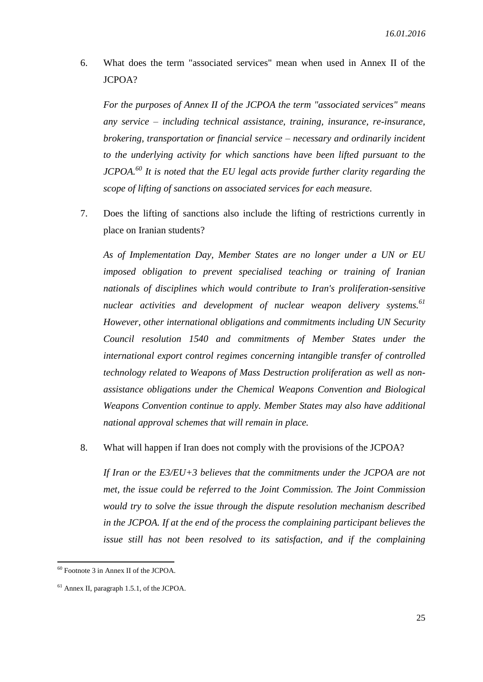6. What does the term "associated services" mean when used in Annex II of the JCPOA?

*For the purposes of Annex II of the JCPOA the term "associated services" means any service – including technical assistance, training, insurance, re-insurance, brokering, transportation or financial service – necessary and ordinarily incident to the underlying activity for which sanctions have been lifted pursuant to the JCPOA. <sup>60</sup> It is noted that the EU legal acts provide further clarity regarding the scope of lifting of sanctions on associated services for each measure.*

7. Does the lifting of sanctions also include the lifting of restrictions currently in place on Iranian students?

*As of Implementation Day, Member States are no longer under a UN or EU imposed obligation to prevent specialised teaching or training of Iranian nationals of disciplines which would contribute to Iran's proliferation-sensitive nuclear activities and development of nuclear weapon delivery systems.<sup>61</sup> However, other international obligations and commitments including UN Security Council resolution 1540 and commitments of Member States under the international export control regimes concerning intangible transfer of controlled technology related to Weapons of Mass Destruction proliferation as well as nonassistance obligations under the Chemical Weapons Convention and Biological Weapons Convention continue to apply. Member States may also have additional national approval schemes that will remain in place.*

8. What will happen if Iran does not comply with the provisions of the JCPOA?

*If Iran or the E3/EU+3 believes that the commitments under the JCPOA are not met, the issue could be referred to the Joint Commission. The Joint Commission would try to solve the issue through the dispute resolution mechanism described in the JCPOA. If at the end of the process the complaining participant believes the issue still has not been resolved to its satisfaction, and if the complaining* 

<sup>60</sup> Footnote 3 in Annex II of the JCPOA.

<sup>61</sup> Annex II, paragraph 1.5.1, of the JCPOA.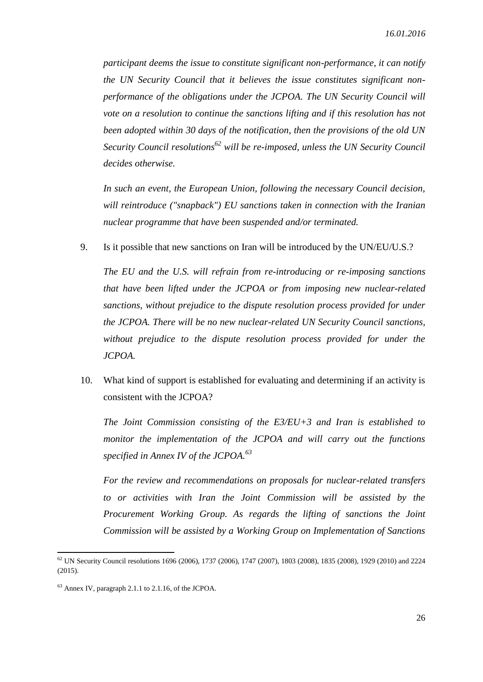*participant deems the issue to constitute significant non-performance, it can notify the UN Security Council that it believes the issue constitutes significant nonperformance of the obligations under the JCPOA. The UN Security Council will vote on a resolution to continue the sanctions lifting and if this resolution has not been adopted within 30 days of the notification, then the provisions of the old UN Security Council resolutions <sup>62</sup> will be re-imposed, unless the UN Security Council decides otherwise.*

*In such an event, the European Union, following the necessary Council decision, will reintroduce ("snapback") EU sanctions taken in connection with the Iranian nuclear programme that have been suspended and/or terminated.*

9. Is it possible that new sanctions on Iran will be introduced by the UN/EU/U.S.?

*The EU and the U.S. will refrain from re-introducing or re-imposing sanctions that have been lifted under the JCPOA or from imposing new nuclear-related sanctions, without prejudice to the dispute resolution process provided for under the JCPOA. There will be no new nuclear-related UN Security Council sanctions, without prejudice to the dispute resolution process provided for under the JCPOA.*

10. What kind of support is established for evaluating and determining if an activity is consistent with the JCPOA?

*The Joint Commission consisting of the E3/EU+3 and Iran is established to monitor the implementation of the JCPOA and will carry out the functions specified in Annex IV of the JCPOA. 63*

*For the review and recommendations on proposals for nuclear-related transfers to or activities with Iran the Joint Commission will be assisted by the Procurement Working Group. As regards the lifting of sanctions the Joint Commission will be assisted by a Working Group on Implementation of Sanctions* 

1

 $62$  UN Security Council resolutions 1696 (2006), 1737 (2006), 1747 (2007), 1803 (2008), 1835 (2008), 1929 (2010) and 2224 (2015).

<sup>63</sup> Annex IV, paragraph 2.1.1 to 2.1.16, of the JCPOA.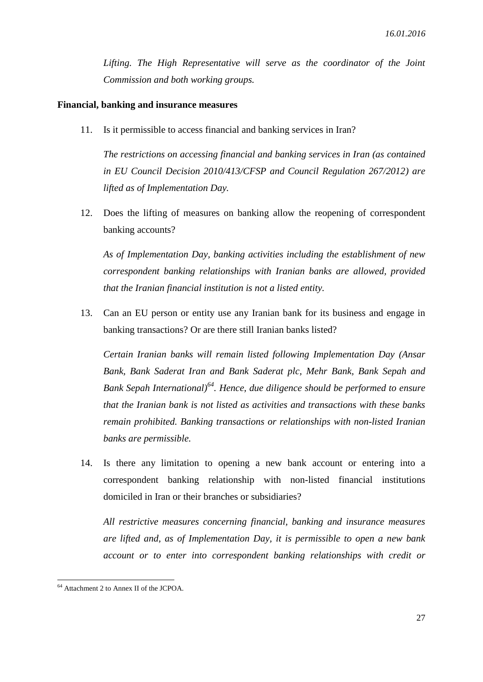*Lifting. The High Representative will serve as the coordinator of the Joint Commission and both working groups.*

#### **Financial, banking and insurance measures**

11. Is it permissible to access financial and banking services in Iran?

*The restrictions on accessing financial and banking services in Iran (as contained in EU Council Decision 2010/413/CFSP and Council Regulation 267/2012) are lifted as of Implementation Day.*

12. Does the lifting of measures on banking allow the reopening of correspondent banking accounts?

*As of Implementation Day, banking activities including the establishment of new correspondent banking relationships with Iranian banks are allowed, provided that the Iranian financial institution is not a listed entity.*

13. Can an EU person or entity use any Iranian bank for its business and engage in banking transactions? Or are there still Iranian banks listed?

*Certain Iranian banks will remain listed following Implementation Day (Ansar Bank, Bank Saderat Iran and Bank Saderat plc, Mehr Bank, Bank Sepah and Bank Sepah International)<sup>64</sup>. Hence, due diligence should be performed to ensure that the Iranian bank is not listed as activities and transactions with these banks remain prohibited. Banking transactions or relationships with non-listed Iranian banks are permissible.*

14. Is there any limitation to opening a new bank account or entering into a correspondent banking relationship with non-listed financial institutions domiciled in Iran or their branches or subsidiaries?

*All restrictive measures concerning financial, banking and insurance measures are lifted and, as of Implementation Day, it is permissible to open a new bank account or to enter into correspondent banking relationships with credit or* 

1

<sup>64</sup> Attachment 2 to Annex II of the JCPOA.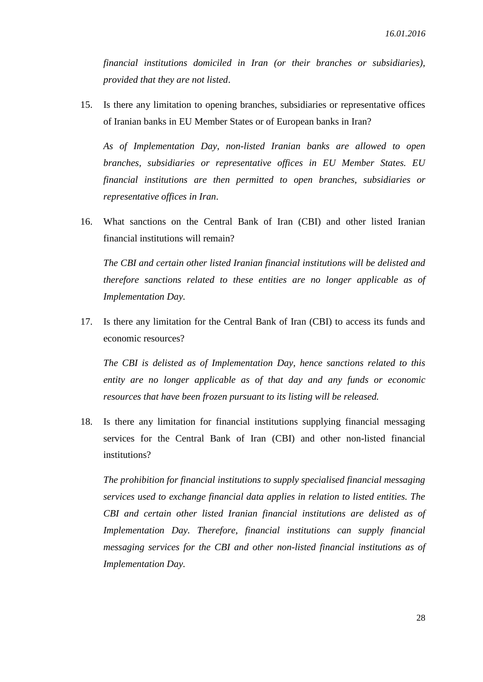*financial institutions domiciled in Iran (or their branches or subsidiaries), provided that they are not listed*.

15. Is there any limitation to opening branches, subsidiaries or representative offices of Iranian banks in EU Member States or of European banks in Iran?

*As of Implementation Day, non-listed Iranian banks are allowed to open branches, subsidiaries or representative offices in EU Member States. EU financial institutions are then permitted to open branches, subsidiaries or representative offices in Iran*.

16. What sanctions on the Central Bank of Iran (CBI) and other listed Iranian financial institutions will remain?

*The CBI and certain other listed Iranian financial institutions will be delisted and therefore sanctions related to these entities are no longer applicable as of Implementation Day.*

17. Is there any limitation for the Central Bank of Iran (CBI) to access its funds and economic resources?

*The CBI is delisted as of Implementation Day, hence sanctions related to this entity are no longer applicable as of that day and any funds or economic resources that have been frozen pursuant to its listing will be released.*

18. Is there any limitation for financial institutions supplying financial messaging services for the Central Bank of Iran (CBI) and other non-listed financial institutions?

*The prohibition for financial institutions to supply specialised financial messaging services used to exchange financial data applies in relation to listed entities. The CBI and certain other listed Iranian financial institutions are delisted as of Implementation Day. Therefore, financial institutions can supply financial messaging services for the CBI and other non-listed financial institutions as of Implementation Day.*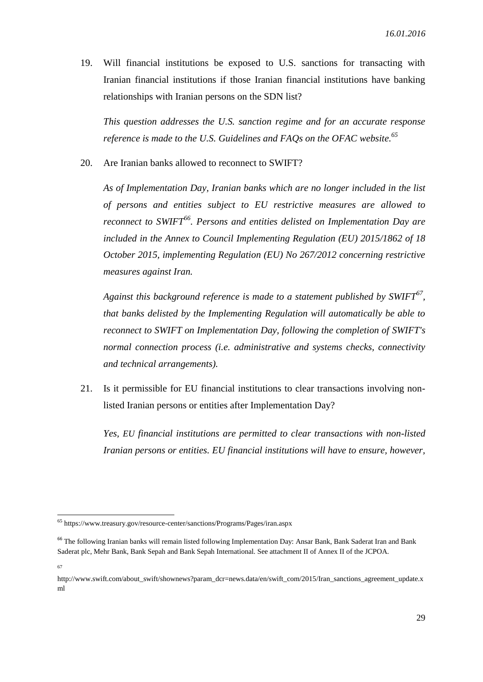19. Will financial institutions be exposed to U.S. sanctions for transacting with Iranian financial institutions if those Iranian financial institutions have banking relationships with Iranian persons on the SDN list?

*This question addresses the U.S. sanction regime and for an accurate response reference is made to the U.S. Guidelines and FAQs on the OFAC website. 65*

20. Are Iranian banks allowed to reconnect to SWIFT?

*As of Implementation Day, Iranian banks which are no longer included in the list of persons and entities subject to EU restrictive measures are allowed to reconnect to SWIFT<sup>66</sup> . Persons and entities delisted on Implementation Day are included in the Annex to Council Implementing Regulation (EU) 2015/1862 of 18 October 2015, implementing Regulation (EU) No 267/2012 concerning restrictive measures against Iran.*

*Against this background reference is made to a statement published by SWIFT<sup>67</sup> , that banks delisted by the Implementing Regulation will automatically be able to reconnect to SWIFT on Implementation Day, following the completion of SWIFT's normal connection process (i.e. administrative and systems checks, connectivity and technical arrangements).*

21. Is it permissible for EU financial institutions to clear transactions involving nonlisted Iranian persons or entities after Implementation Day?

*Yes, EU financial institutions are permitted to clear transactions with non-listed Iranian persons or entities. EU financial institutions will have to ensure, however,* 

<sup>65</sup> https://www.treasury.gov/resource-center/sanctions/Programs/Pages/iran.aspx

<sup>&</sup>lt;sup>66</sup> The following Iranian banks will remain listed following Implementation Day: Ansar Bank, Bank Saderat Iran and Bank Saderat plc, Mehr Bank, Bank Sepah and Bank Sepah International. See attachment II of Annex II of the JCPOA.

<sup>67</sup>

http://www.swift.com/about\_swift/shownews?param\_dcr=news.data/en/swift\_com/2015/Iran\_sanctions\_agreement\_update.x ml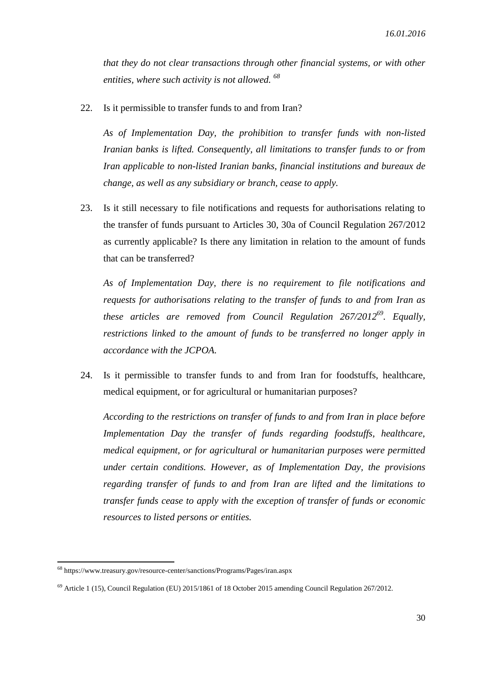*that they do not clear transactions through other financial systems, or with other entities, where such activity is not allowed. 68*

22. Is it permissible to transfer funds to and from Iran?

*As of Implementation Day, the prohibition to transfer funds with non-listed Iranian banks is lifted. Consequently, all limitations to transfer funds to or from Iran applicable to non-listed Iranian banks, financial institutions and bureaux de change, as well as any subsidiary or branch, cease to apply.*

23. Is it still necessary to file notifications and requests for authorisations relating to the transfer of funds pursuant to Articles 30, 30a of Council Regulation 267/2012 as currently applicable? Is there any limitation in relation to the amount of funds that can be transferred?

*As of Implementation Day, there is no requirement to file notifications and requests for authorisations relating to the transfer of funds to and from Iran as these articles are removed from Council Regulation 267/2012<sup>69</sup> . Equally, restrictions linked to the amount of funds to be transferred no longer apply in accordance with the JCPOA.*

24. Is it permissible to transfer funds to and from Iran for foodstuffs, healthcare, medical equipment, or for agricultural or humanitarian purposes?

*According to the restrictions on transfer of funds to and from Iran in place before Implementation Day the transfer of funds regarding foodstuffs, healthcare, medical equipment, or for agricultural or humanitarian purposes were permitted under certain conditions. However, as of Implementation Day, the provisions regarding transfer of funds to and from Iran are lifted and the limitations to transfer funds cease to apply with the exception of transfer of funds or economic resources to listed persons or entities.*

 $^{68}$ https://www.treasury.gov/resource-center/sanctions/Programs/Pages/iran.aspx

<sup>&</sup>lt;sup>69</sup> Article 1 (15), Council Regulation (EU) 2015/1861 of 18 October 2015 amending Council Regulation 267/2012.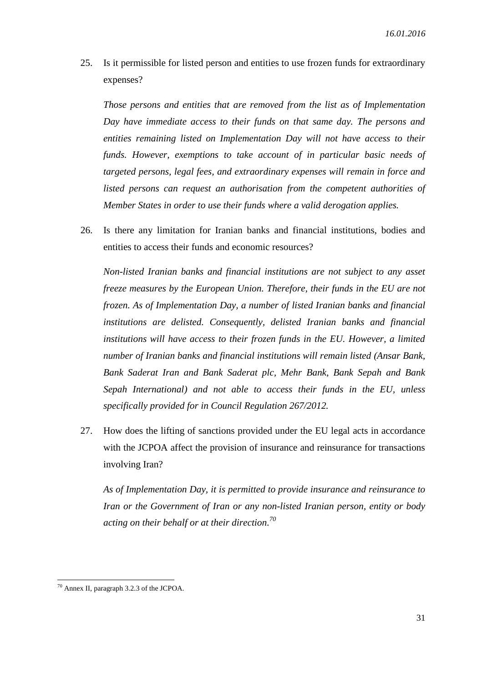25. Is it permissible for listed person and entities to use frozen funds for extraordinary expenses?

*Those persons and entities that are removed from the list as of Implementation Day have immediate access to their funds on that same day. The persons and entities remaining listed on Implementation Day will not have access to their funds. However, exemptions to take account of in particular basic needs of targeted persons, legal fees, and extraordinary expenses will remain in force and listed persons can request an authorisation from the competent authorities of Member States in order to use their funds where a valid derogation applies.*

26. Is there any limitation for Iranian banks and financial institutions, bodies and entities to access their funds and economic resources?

*Non-listed Iranian banks and financial institutions are not subject to any asset freeze measures by the European Union. Therefore, their funds in the EU are not frozen. As of Implementation Day, a number of listed Iranian banks and financial institutions are delisted. Consequently, delisted Iranian banks and financial institutions will have access to their frozen funds in the EU. However, a limited number of Iranian banks and financial institutions will remain listed (Ansar Bank, Bank Saderat Iran and Bank Saderat plc, Mehr Bank, Bank Sepah and Bank Sepah International) and not able to access their funds in the EU, unless specifically provided for in Council Regulation 267/2012.*

27. How does the lifting of sanctions provided under the EU legal acts in accordance with the JCPOA affect the provision of insurance and reinsurance for transactions involving Iran?

*As of Implementation Day, it is permitted to provide insurance and reinsurance to Iran or the Government of Iran or any non-listed Iranian person, entity or body acting on their behalf or at their direction. 70*

1

 $70$  Annex II, paragraph 3.2.3 of the JCPOA.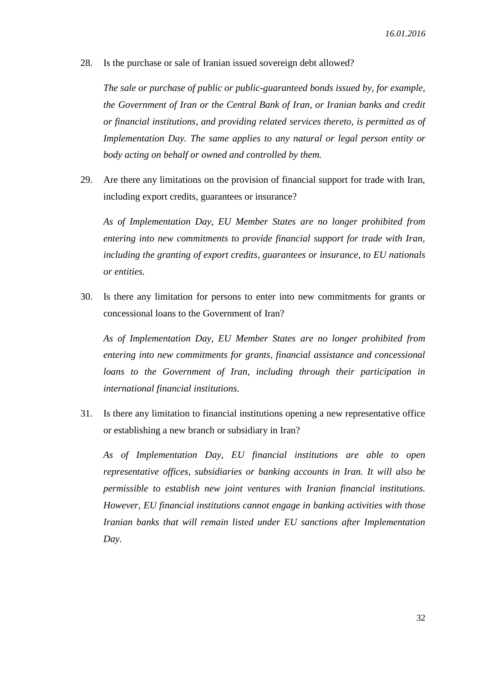28. Is the purchase or sale of Iranian issued sovereign debt allowed?

*The sale or purchase of public or public-guaranteed bonds issued by, for example, the Government of Iran or the Central Bank of Iran, or Iranian banks and credit or financial institutions, and providing related services thereto, is permitted as of Implementation Day. The same applies to any natural or legal person entity or body acting on behalf or owned and controlled by them.*

29. Are there any limitations on the provision of financial support for trade with Iran, including export credits, guarantees or insurance?

*As of Implementation Day, EU Member States are no longer prohibited from entering into new commitments to provide financial support for trade with Iran, including the granting of export credits, guarantees or insurance, to EU nationals or entities.*

30. Is there any limitation for persons to enter into new commitments for grants or concessional loans to the Government of Iran?

*As of Implementation Day, EU Member States are no longer prohibited from entering into new commitments for grants, financial assistance and concessional*  loans to the Government of Iran, including through their participation in *international financial institutions.*

31. Is there any limitation to financial institutions opening a new representative office or establishing a new branch or subsidiary in Iran?

*As of Implementation Day, EU financial institutions are able to open representative offices, subsidiaries or banking accounts in Iran. It will also be permissible to establish new joint ventures with Iranian financial institutions. However, EU financial institutions cannot engage in banking activities with those Iranian banks that will remain listed under EU sanctions after Implementation Day.*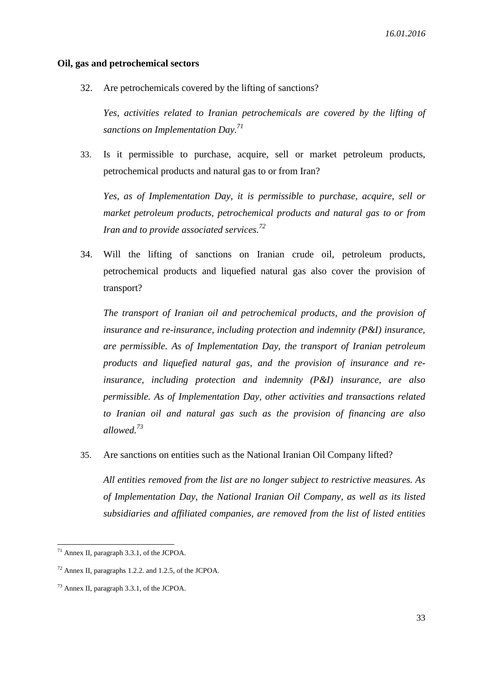#### **Oil, gas and petrochemical sectors**

32. Are petrochemicals covered by the lifting of sanctions?

*Yes, activities related to Iranian petrochemicals are covered by the lifting of sanctions on Implementation Day. 71*

33. Is it permissible to purchase, acquire, sell or market petroleum products, petrochemical products and natural gas to or from Iran?

*Yes, as of Implementation Day, it is permissible to purchase, acquire, sell or market petroleum products, petrochemical products and natural gas to or from Iran and to provide associated services. 72*

34. Will the lifting of sanctions on Iranian crude oil, petroleum products, petrochemical products and liquefied natural gas also cover the provision of transport?

*The transport of Iranian oil and petrochemical products, and the provision of insurance and re-insurance, including protection and indemnity (P&I) insurance, are permissible. As of Implementation Day, the transport of Iranian petroleum products and liquefied natural gas, and the provision of insurance and reinsurance, including protection and indemnity (P&I) insurance, are also permissible. As of Implementation Day, other activities and transactions related to Iranian oil and natural gas such as the provision of financing are also allowed. 73*

35. Are sanctions on entities such as the National Iranian Oil Company lifted?

*All entities removed from the list are no longer subject to restrictive measures. As of Implementation Day, the National Iranian Oil Company, as well as its listed subsidiaries and affiliated companies, are removed from the list of listed entities* 

<sup>71</sup> Annex II, paragraph 3.3.1, of the JCPOA.

<sup>72</sup> Annex II, paragraphs 1.2.2. and 1.2.5, of the JCPOA.

<sup>73</sup> Annex II, paragraph 3.3.1, of the JCPOA.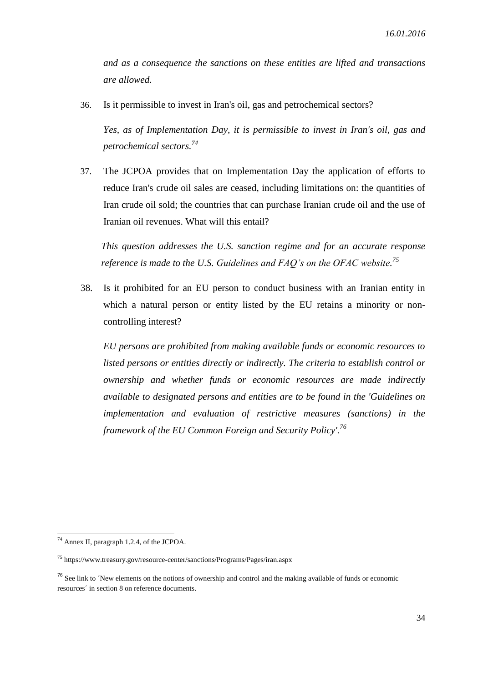*and as a consequence the sanctions on these entities are lifted and transactions are allowed.*

36. Is it permissible to invest in Iran's oil, gas and petrochemical sectors?

*Yes, as of Implementation Day, it is permissible to invest in Iran's oil, gas and petrochemical sectors. 74*

37. The JCPOA provides that on Implementation Day the application of efforts to reduce Iran's crude oil sales are ceased, including limitations on: the quantities of Iran crude oil sold; the countries that can purchase Iranian crude oil and the use of Iranian oil revenues. What will this entail?

*This question addresses the U.S. sanction regime and for an accurate response reference is made to the U.S. Guidelines and FAQ's on the OFAC website. 75*

38. Is it prohibited for an EU person to conduct business with an Iranian entity in which a natural person or entity listed by the EU retains a minority or noncontrolling interest?

*EU persons are prohibited from making available funds or economic resources to listed persons or entities directly or indirectly. The criteria to establish control or ownership and whether funds or economic resources are made indirectly available to designated persons and entities are to be found in the 'Guidelines on implementation and evaluation of restrictive measures (sanctions) in the framework of the EU Common Foreign and Security Policy'. 76*

<sup>74</sup> Annex II, paragraph 1.2.4, of the JCPOA.

<sup>75</sup> https://www.treasury.gov/resource-center/sanctions/Programs/Pages/iran.aspx

<sup>&</sup>lt;sup>76</sup> See link to  $\gamma$  New elements on the notions of ownership and control and the making available of funds or economic resources´ in section 8 on reference documents.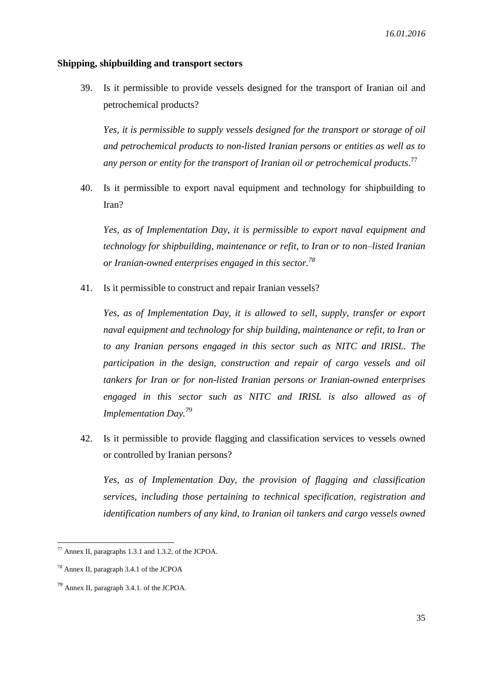#### **Shipping, shipbuilding and transport sectors**

39. Is it permissible to provide vessels designed for the transport of Iranian oil and petrochemical products?

*Yes, it is permissible to supply vessels designed for the transport or storage of oil and petrochemical products to non-listed Iranian persons or entities as well as to any person or entity for the transport of Iranian oil or petrochemical products*. 77

40. Is it permissible to export naval equipment and technology for shipbuilding to Iran?

*Yes, as of Implementation Day, it is permissible to export naval equipment and technology for shipbuilding, maintenance or refit, to Iran or to non–listed Iranian or Iranian-owned enterprises engaged in this sector. 78*

41. Is it permissible to construct and repair Iranian vessels?

*Yes, as of Implementation Day, it is allowed to sell, supply, transfer or export naval equipment and technology for ship building, maintenance or refit, to Iran or to any Iranian persons engaged in this sector such as NITC and IRISL. The participation in the design, construction and repair of cargo vessels and oil tankers for Iran or for non-listed Iranian persons or Iranian-owned enterprises engaged in this sector such as NITC and IRISL is also allowed as of Implementation Day.<sup>79</sup>*

42. Is it permissible to provide flagging and classification services to vessels owned or controlled by Iranian persons?

*Yes, as of Implementation Day, the provision of flagging and classification services, including those pertaining to technical specification, registration and identification numbers of any kind, to Iranian oil tankers and cargo vessels owned* 

 $\overline{a}$ 

 $77$  Annex II, paragraphs 1.3.1 and 1.3.2, of the JCPOA.

<sup>78</sup> Annex II, paragraph 3.4.1 of the JCPOA

<sup>79</sup> Annex II, paragraph 3.4.1. of the JCPOA.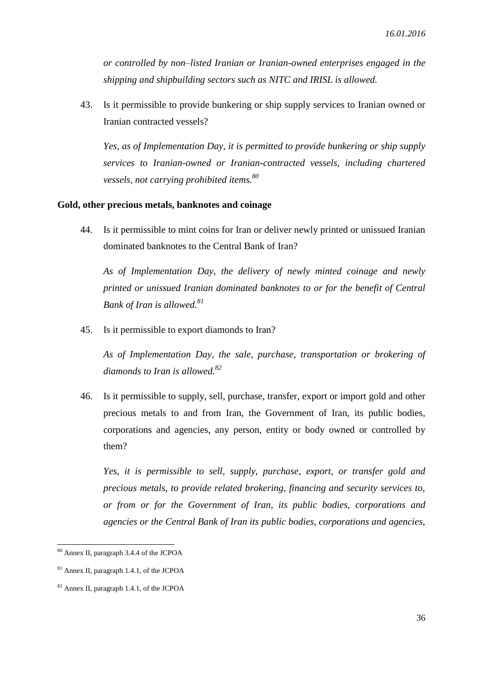*or controlled by non–listed Iranian or Iranian-owned enterprises engaged in the shipping and shipbuilding sectors such as NITC and IRISL is allowed.*

43. Is it permissible to provide bunkering or ship supply services to Iranian owned or Iranian contracted vessels?

*Yes, as of Implementation Day, it is permitted to provide bunkering or ship supply services to Iranian-owned or Iranian-contracted vessels, including chartered vessels, not carrying prohibited items.<sup>80</sup>*

#### **Gold, other precious metals, banknotes and coinage**

44. Is it permissible to mint coins for Iran or deliver newly printed or unissued Iranian dominated banknotes to the Central Bank of Iran?

*As of Implementation Day, the delivery of newly minted coinage and newly printed or unissued Iranian dominated banknotes to or for the benefit of Central Bank of Iran is allowed. 81*

45. Is it permissible to export diamonds to Iran?

*As of Implementation Day, the sale, purchase, transportation or brokering of diamonds to Iran is allowed.<sup>82</sup>*

46. Is it permissible to supply, sell, purchase, transfer, export or import gold and other precious metals to and from Iran, the Government of Iran, its public bodies, corporations and agencies, any person, entity or body owned or controlled by them?

*Yes, it is permissible to sell, supply, purchase, export, or transfer gold and precious metals, to provide related brokering, financing and security services to, or from or for the Government of Iran, its public bodies, corporations and agencies or the Central Bank of Iran its public bodies, corporations and agencies,* 

<sup>80</sup> Annex II, paragraph 3.4.4 of the JCPOA

<sup>81</sup> Annex II, paragraph 1.4.1, of the JCPOA

<sup>82</sup> Annex II, paragraph 1.4.1, of the JCPOA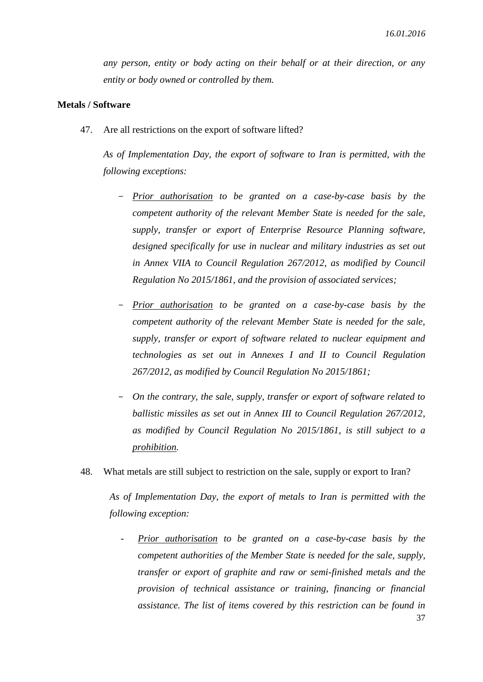*any person, entity or body acting on their behalf or at their direction, or any entity or body owned or controlled by them.*

#### **Metals / Software**

47. Are all restrictions on the export of software lifted?

*As of Implementation Day, the export of software to Iran is permitted, with the following exceptions:* 

- *Prior authorisation to be granted on a case-by-case basis by the competent authority of the relevant Member State is needed for the sale, supply, transfer or export of Enterprise Resource Planning software, designed specifically for use in nuclear and military industries as set out in Annex VIIA to Council Regulation 267/2012, as modified by Council Regulation No 2015/1861, and the provision of associated services;*
- *Prior authorisation to be granted on a case-by-case basis by the competent authority of the relevant Member State is needed for the sale, supply, transfer or export of software related to nuclear equipment and technologies as set out in Annexes I and II to Council Regulation 267/2012, as modified by Council Regulation No 2015/1861;*
- *On the contrary, the sale, supply, transfer or export of software related to ballistic missiles as set out in Annex III to Council Regulation 267/2012, as modified by Council Regulation No 2015/1861, is still subject to a prohibition.*
- 48. What metals are still subject to restriction on the sale, supply or export to Iran?

*As of Implementation Day, the export of metals to Iran is permitted with the following exception:*

- *Prior authorisation to be granted on a case-by-case basis by the competent authorities of the Member State is needed for the sale, supply, transfer or export of graphite and raw or semi-finished metals and the provision of technical assistance or training, financing or financial assistance. The list of items covered by this restriction can be found in*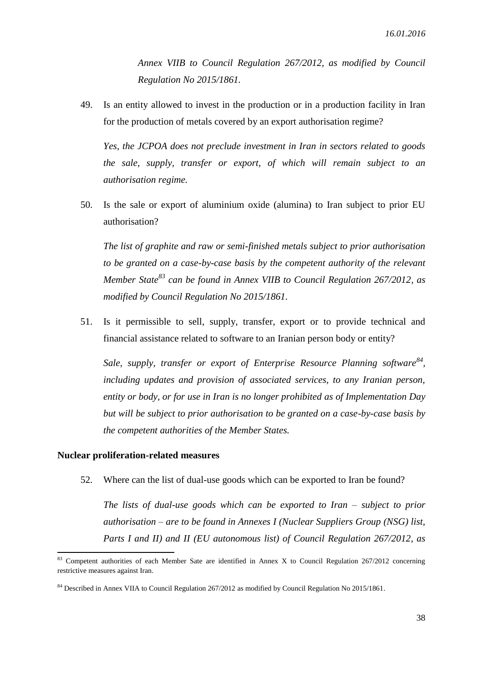*Annex VIIB to Council Regulation 267/2012, as modified by Council Regulation No 2015/1861.*

49. Is an entity allowed to invest in the production or in a production facility in Iran for the production of metals covered by an export authorisation regime?

*Yes, the JCPOA does not preclude investment in Iran in sectors related to goods the sale, supply, transfer or export, of which will remain subject to an authorisation regime.*

50. Is the sale or export of aluminium oxide (alumina) to Iran subject to prior EU authorisation?

*The list of graphite and raw or semi-finished metals subject to prior authorisation to be granted on a case-by-case basis by the competent authority of the relevant Member State<sup>83</sup> can be found in Annex VIIB to Council Regulation 267/2012, as modified by Council Regulation No 2015/1861.*

51. Is it permissible to sell, supply, transfer, export or to provide technical and financial assistance related to software to an Iranian person body or entity?

Sale, supply, transfer or export of Enterprise Resource Planning software<sup>84</sup>, *including updates and provision of associated services, to any Iranian person, entity or body, or for use in Iran is no longer prohibited as of Implementation Day but will be subject to prior authorisation to be granted on a case-by-case basis by the competent authorities of the Member States.*

#### **Nuclear proliferation-related measures**

1

52. Where can the list of dual-use goods which can be exported to Iran be found?

*The lists of dual-use goods which can be exported to Iran – subject to prior authorisation – are to be found in Annexes I (Nuclear Suppliers Group (NSG) list, Parts I and II) and II (EU autonomous list) of Council Regulation 267/2012, as* 

 $83$  Competent authorities of each Member Sate are identified in Annex X to Council Regulation 267/2012 concerning restrictive measures against Iran.

<sup>&</sup>lt;sup>84</sup> Described in Annex VIIA to Council Regulation 267/2012 as modified by Council Regulation No 2015/1861.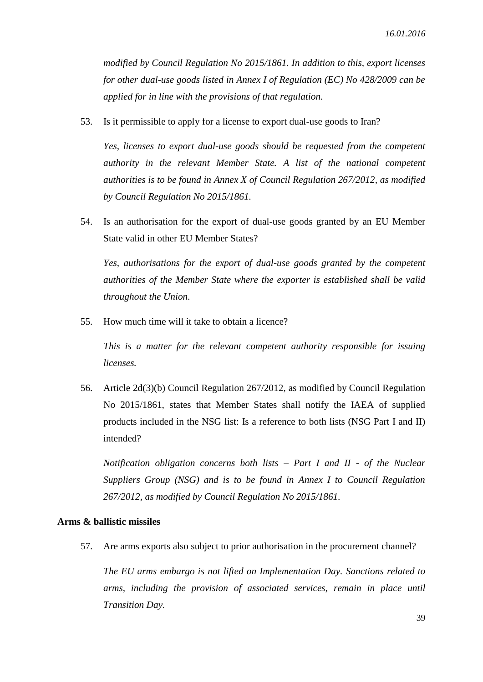*modified by Council Regulation No 2015/1861. In addition to this, export licenses for other dual-use goods listed in Annex I of Regulation (EC) No 428/2009 can be applied for in line with the provisions of that regulation.*

53. Is it permissible to apply for a license to export dual-use goods to Iran?

*Yes, licenses to export dual-use goods should be requested from the competent authority in the relevant Member State. A list of the national competent authorities is to be found in Annex X of Council Regulation 267/2012, as modified by Council Regulation No 2015/1861.*

54. Is an authorisation for the export of dual-use goods granted by an EU Member State valid in other EU Member States?

*Yes, authorisations for the export of dual-use goods granted by the competent authorities of the Member State where the exporter is established shall be valid throughout the Union.*

55. How much time will it take to obtain a licence?

*This is a matter for the relevant competent authority responsible for issuing licenses.*

56. Article 2d(3)(b) Council Regulation 267/2012, as modified by Council Regulation No 2015/1861, states that Member States shall notify the IAEA of supplied products included in the NSG list: Is a reference to both lists (NSG Part I and II) intended?

*Notification obligation concerns both lists – Part I and II - of the Nuclear Suppliers Group (NSG) and is to be found in Annex I to Council Regulation 267/2012, as modified by Council Regulation No 2015/1861.*

#### **Arms & ballistic missiles**

57. Are arms exports also subject to prior authorisation in the procurement channel?

*The EU arms embargo is not lifted on Implementation Day. Sanctions related to arms, including the provision of associated services, remain in place until Transition Day.*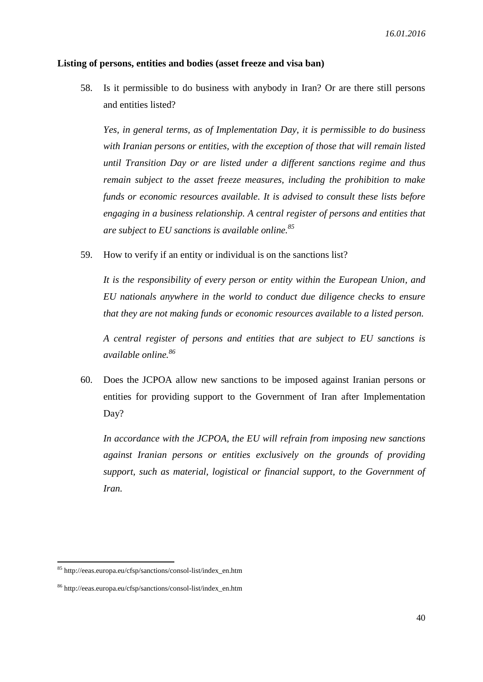#### **Listing of persons, entities and bodies (asset freeze and visa ban)**

58. Is it permissible to do business with anybody in Iran? Or are there still persons and entities listed?

*Yes, in general terms, as of Implementation Day, it is permissible to do business with Iranian persons or entities, with the exception of those that will remain listed until Transition Day or are listed under a different sanctions regime and thus remain subject to the asset freeze measures, including the prohibition to make funds or economic resources available. It is advised to consult these lists before engaging in a business relationship. A central register of persons and entities that are subject to EU sanctions is available online. 85*

59. How to verify if an entity or individual is on the sanctions list?

*It is the responsibility of every person or entity within the European Union, and EU nationals anywhere in the world to conduct due diligence checks to ensure that they are not making funds or economic resources available to a listed person.*

*A central register of persons and entities that are subject to EU sanctions is available online. 86*

60. Does the JCPOA allow new sanctions to be imposed against Iranian persons or entities for providing support to the Government of Iran after Implementation Day?

*In accordance with the JCPOA, the EU will refrain from imposing new sanctions against Iranian persons or entities exclusively on the grounds of providing support, such as material, logistical or financial support, to the Government of Iran.*

<sup>85</sup> http://eeas.europa.eu/cfsp/sanctions/consol-list/index\_en.htm

<sup>86</sup> http://eeas.europa.eu/cfsp/sanctions/consol-list/index\_en.htm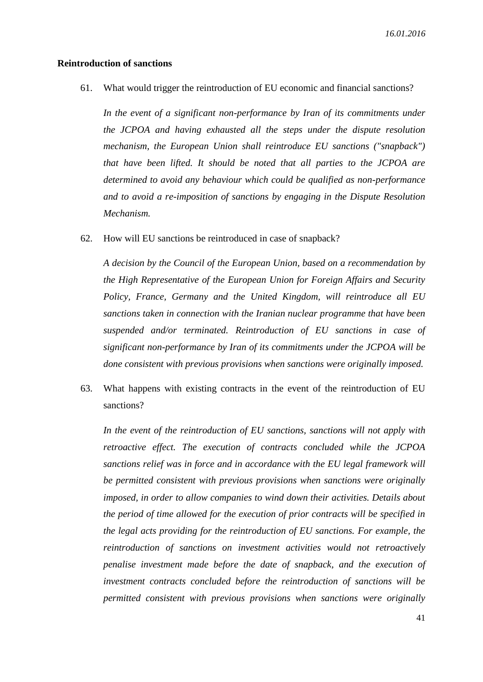#### **Reintroduction of sanctions**

61. What would trigger the reintroduction of EU economic and financial sanctions?

In the event of a significant non-performance by Iran of its commitments under *the JCPOA and having exhausted all the steps under the dispute resolution mechanism, the European Union shall reintroduce EU sanctions ("snapback") that have been lifted. It should be noted that all parties to the JCPOA are determined to avoid any behaviour which could be qualified as non-performance and to avoid a re-imposition of sanctions by engaging in the Dispute Resolution Mechanism.*

62. How will EU sanctions be reintroduced in case of snapback?

*A decision by the Council of the European Union, based on a recommendation by the High Representative of the European Union for Foreign Affairs and Security Policy, France, Germany and the United Kingdom, will reintroduce all EU sanctions taken in connection with the Iranian nuclear programme that have been suspended and/or terminated. Reintroduction of EU sanctions in case of significant non-performance by Iran of its commitments under the JCPOA will be done consistent with previous provisions when sanctions were originally imposed.*

63. What happens with existing contracts in the event of the reintroduction of EU sanctions?

*In the event of the reintroduction of EU sanctions, sanctions will not apply with retroactive effect. The execution of contracts concluded while the JCPOA sanctions relief was in force and in accordance with the EU legal framework will be permitted consistent with previous provisions when sanctions were originally imposed, in order to allow companies to wind down their activities. Details about the period of time allowed for the execution of prior contracts will be specified in the legal acts providing for the reintroduction of EU sanctions. For example, the reintroduction of sanctions on investment activities would not retroactively penalise investment made before the date of snapback, and the execution of investment contracts concluded before the reintroduction of sanctions will be permitted consistent with previous provisions when sanctions were originally*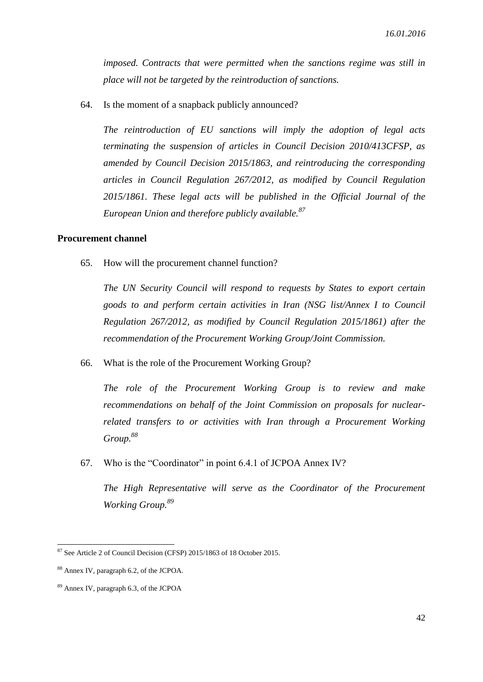*imposed. Contracts that were permitted when the sanctions regime was still in place will not be targeted by the reintroduction of sanctions.* 

64. Is the moment of a snapback publicly announced?

*The reintroduction of EU sanctions will imply the adoption of legal acts terminating the suspension of articles in Council Decision 2010/413CFSP, as amended by Council Decision 2015/1863, and reintroducing the corresponding articles in Council Regulation 267/2012, as modified by Council Regulation 2015/1861. These legal acts will be published in the Official Journal of the European Union and therefore publicly available. 87*

#### **Procurement channel**

65. How will the procurement channel function?

*The UN Security Council will respond to requests by States to export certain goods to and perform certain activities in Iran (NSG list/Annex I to Council Regulation 267/2012, as modified by Council Regulation 2015/1861) after the recommendation of the Procurement Working Group/Joint Commission.*

66. What is the role of the Procurement Working Group?

*The role of the Procurement Working Group is to review and make recommendations on behalf of the Joint Commission on proposals for nuclearrelated transfers to or activities with Iran through a Procurement Working Group.<sup>88</sup>*

67. Who is the "Coordinator" in point 6.4.1 of JCPOA Annex IV?

*The High Representative will serve as the Coordinator of the Procurement Working Group.<sup>89</sup>*

<sup>87</sup> See Article 2 of Council Decision (CFSP) 2015/1863 of 18 October 2015.

<sup>88</sup> Annex IV, paragraph 6.2, of the JCPOA.

<sup>89</sup> Annex IV, paragraph 6.3, of the JCPOA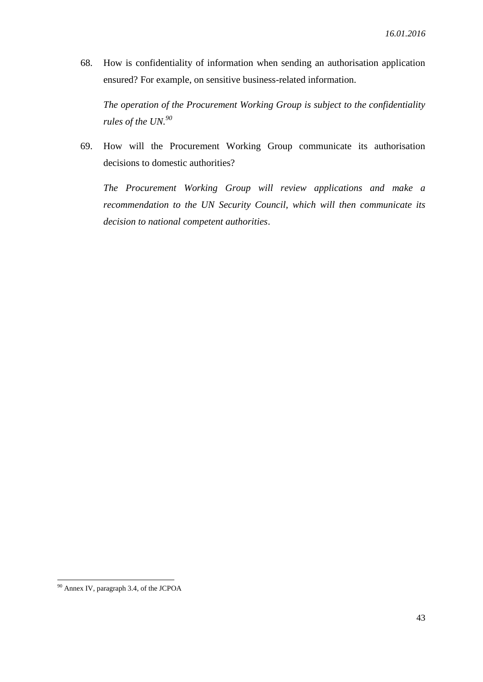68. How is confidentiality of information when sending an authorisation application ensured? For example, on sensitive business-related information.

*The operation of the Procurement Working Group is subject to the confidentiality rules of the UN.<sup>90</sup>*

69. How will the Procurement Working Group communicate its authorisation decisions to domestic authorities?

*The Procurement Working Group will review applications and make a recommendation to the UN Security Council, which will then communicate its decision to national competent authorities*.

<sup>1</sup> <sup>90</sup> Annex IV, paragraph 3.4, of the JCPOA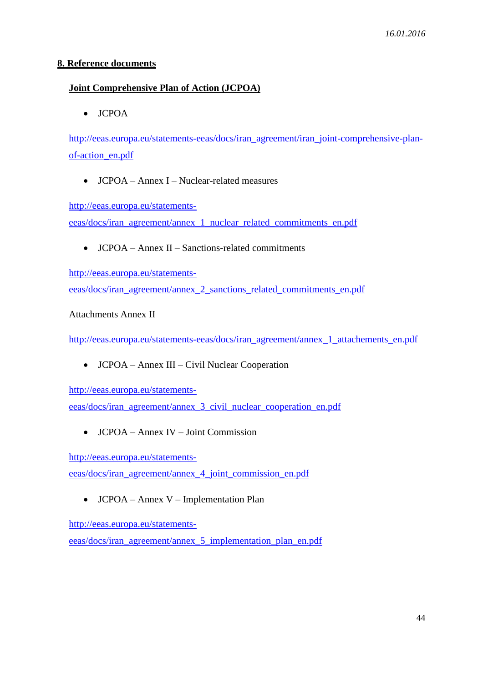## **8. Reference documents**

## **Joint Comprehensive Plan of Action (JCPOA)**

• JCPOA

[http://eeas.europa.eu/statements-eeas/docs/iran\\_agreement/iran\\_joint-comprehensive-plan](http://eeas.europa.eu/statements-eeas/docs/iran_agreement/iran_joint-comprehensive-plan-of-action_en.pdf)[of-action\\_en.pdf](http://eeas.europa.eu/statements-eeas/docs/iran_agreement/iran_joint-comprehensive-plan-of-action_en.pdf)

• JCPOA – Annex I – Nuclear-related measures

[http://eeas.europa.eu/statements-](http://eeas.europa.eu/statements-eeas/docs/iran_agreement/annex_1_nuclear_related_commitments_en.pdf)

[eeas/docs/iran\\_agreement/annex\\_1\\_nuclear\\_related\\_commitments\\_en.pdf](http://eeas.europa.eu/statements-eeas/docs/iran_agreement/annex_1_nuclear_related_commitments_en.pdf)

• **JCPOA** – Annex II – Sanctions-related commitments

[http://eeas.europa.eu/statements](http://eeas.europa.eu/statements-eeas/docs/iran_agreement/annex_2_sanctions_related_commitments_en.pdf)[eeas/docs/iran\\_agreement/annex\\_2\\_sanctions\\_related\\_commitments\\_en.pdf](http://eeas.europa.eu/statements-eeas/docs/iran_agreement/annex_2_sanctions_related_commitments_en.pdf)

Attachments Annex II

[http://eeas.europa.eu/statements-eeas/docs/iran\\_agreement/annex\\_1\\_attachements\\_en.pdf](http://eeas.europa.eu/statements-eeas/docs/iran_agreement/annex_1_attachements_en.pdf)

JCPOA – Annex III – Civil Nuclear Cooperation

[http://eeas.europa.eu/statements-](http://eeas.europa.eu/statements-eeas/docs/iran_agreement/annex_3_civil_nuclear_cooperation_en.pdf)

[eeas/docs/iran\\_agreement/annex\\_3\\_civil\\_nuclear\\_cooperation\\_en.pdf](http://eeas.europa.eu/statements-eeas/docs/iran_agreement/annex_3_civil_nuclear_cooperation_en.pdf)

JCPOA – Annex IV – Joint Commission

[http://eeas.europa.eu/statements-](http://eeas.europa.eu/statements-eeas/docs/iran_agreement/annex_4_joint_commission_en.pdf)

[eeas/docs/iran\\_agreement/annex\\_4\\_joint\\_commission\\_en.pdf](http://eeas.europa.eu/statements-eeas/docs/iran_agreement/annex_4_joint_commission_en.pdf)

JCPOA – Annex V – Implementation Plan

[http://eeas.europa.eu/statements](http://eeas.europa.eu/statements-eeas/docs/iran_agreement/annex_5_implementation_plan_en.pdf)[eeas/docs/iran\\_agreement/annex\\_5\\_implementation\\_plan\\_en.pdf](http://eeas.europa.eu/statements-eeas/docs/iran_agreement/annex_5_implementation_plan_en.pdf)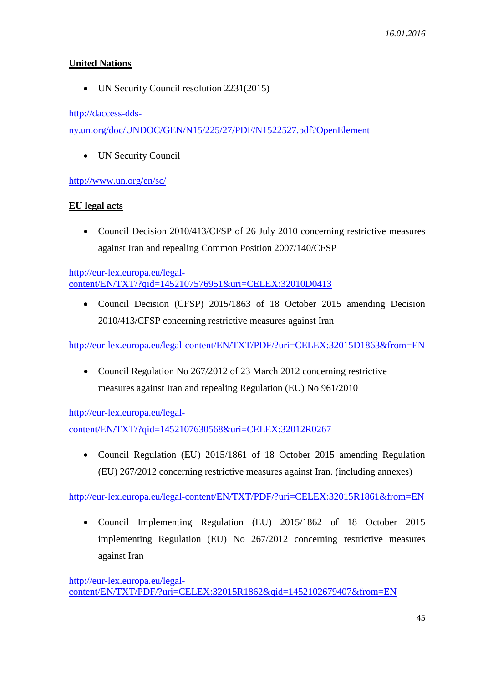## **United Nations**

• UN Security Council resolution 2231(2015)

[http://daccess-dds-](http://daccess-dds-ny.un.org/doc/UNDOC/GEN/N15/225/27/PDF/N1522527.pdf?OpenElement)

[ny.un.org/doc/UNDOC/GEN/N15/225/27/PDF/N1522527.pdf?OpenElement](http://daccess-dds-ny.un.org/doc/UNDOC/GEN/N15/225/27/PDF/N1522527.pdf?OpenElement)

UN Security Council

<http://www.un.org/en/sc/>

## **EU legal acts**

• Council Decision 2010/413/CFSP of 26 July 2010 concerning restrictive measures against Iran and repealing Common Position 2007/140/CFSP

[http://eur-lex.europa.eu/legal](http://eur-lex.europa.eu/legal-content/EN/TXT/?qid=1452107576951&uri=CELEX:32010D0413)[content/EN/TXT/?qid=1452107576951&uri=CELEX:32010D0413](http://eur-lex.europa.eu/legal-content/EN/TXT/?qid=1452107576951&uri=CELEX:32010D0413)

 Council Decision (CFSP) 2015/1863 of 18 October 2015 amending Decision 2010/413/CFSP concerning restrictive measures against Iran

<http://eur-lex.europa.eu/legal-content/EN/TXT/PDF/?uri=CELEX:32015D1863&from=EN>

• Council Regulation No 267/2012 of 23 March 2012 concerning restrictive measures against Iran and repealing Regulation (EU) No 961/2010

[http://eur-lex.europa.eu/legal-](http://eur-lex.europa.eu/legal-content/EN/TXT/?qid=1452107630568&uri=CELEX:32012R0267)

[content/EN/TXT/?qid=1452107630568&uri=CELEX:32012R0267](http://eur-lex.europa.eu/legal-content/EN/TXT/?qid=1452107630568&uri=CELEX:32012R0267)

 Council Regulation (EU) 2015/1861 of 18 October 2015 amending Regulation (EU) 267/2012 concerning restrictive measures against Iran. (including annexes)

<http://eur-lex.europa.eu/legal-content/EN/TXT/PDF/?uri=CELEX:32015R1861&from=EN>

 Council Implementing Regulation (EU) 2015/1862 of 18 October 2015 implementing Regulation (EU) No 267/2012 concerning restrictive measures against Iran

```
http://eur-lex.europa.eu/legal-
content/EN/TXT/PDF/?uri=CELEX:32015R1862&qid=1452102679407&from=EN
```